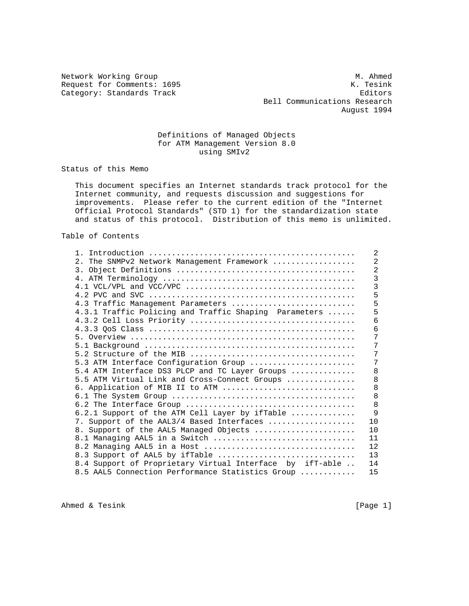Category: Standards Track

Network Working Group<br>Request for Comments: 1695 M. Ahmed M. Tesink Request for Comments: 1695 K. Tesink<br>Category: Standards Track K. Tesink K. Tesink Bell Communications Research August 1994

# Definitions of Managed Objects for ATM Management Version 8.0 using SMIv2

Status of this Memo

 This document specifies an Internet standards track protocol for the Internet community, and requests discussion and suggestions for improvements. Please refer to the current edition of the "Internet Official Protocol Standards" (STD 1) for the standardization state and status of this protocol. Distribution of this memo is unlimited.

Table of Contents

| $1 \quad$                                                                                                     | $\overline{2}$ |
|---------------------------------------------------------------------------------------------------------------|----------------|
| 2. The SNMPv2 Network Management Framework                                                                    | $\overline{2}$ |
|                                                                                                               | $\overline{2}$ |
|                                                                                                               | $\overline{3}$ |
| 4.1 VCL/VPL and VCC/VPC $\ldots \ldots \ldots \ldots \ldots \ldots \ldots \ldots \ldots \ldots \ldots \ldots$ | 3              |
|                                                                                                               | 5              |
| 4.3 Traffic Management Parameters                                                                             | 5              |
| 4.3.1 Traffic Policing and Traffic Shaping Parameters                                                         | 5              |
|                                                                                                               | 6              |
|                                                                                                               | 6              |
|                                                                                                               | 7              |
|                                                                                                               | 7              |
|                                                                                                               | 7              |
| 5.3 ATM Interface Configuration Group                                                                         | 7              |
| 5.4 ATM Interface DS3 PLCP and TC Layer Groups                                                                | 8              |
| 5.5 ATM Virtual Link and Cross-Connect Groups                                                                 | 8              |
| 6. Application of MIB II to ATM                                                                               | 8              |
|                                                                                                               | 8              |
|                                                                                                               | 8              |
| 6.2.1 Support of the ATM Cell Layer by ifTable                                                                | 9              |
| 7. Support of the AAL3/4 Based Interfaces                                                                     | 10             |
| 8. Support of the AAL5 Managed Objects                                                                        | 10             |
| 8.1 Managing AAL5 in a Switch                                                                                 | 11             |
| 8.2 Managing AAL5 in a Host                                                                                   | 12             |
| 8.3 Support of AAL5 by ifTable                                                                                | 13             |
| 8.4 Support of Proprietary Virtual Interface by ifT-able                                                      | 14             |
| 8.5 AAL5 Connection Performance Statistics Group                                                              | 15             |

Ahmed & Tesink [Page 1]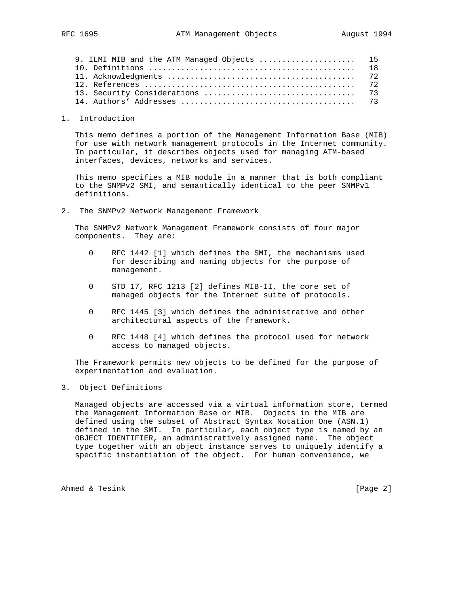| 9. ILMI MIB and the ATM Managed Objects  15 |  |
|---------------------------------------------|--|
|                                             |  |
|                                             |  |
|                                             |  |
|                                             |  |
|                                             |  |

1. Introduction

 This memo defines a portion of the Management Information Base (MIB) for use with network management protocols in the Internet community. In particular, it describes objects used for managing ATM-based interfaces, devices, networks and services.

 This memo specifies a MIB module in a manner that is both compliant to the SNMPv2 SMI, and semantically identical to the peer SNMPv1 definitions.

2. The SNMPv2 Network Management Framework

 The SNMPv2 Network Management Framework consists of four major components. They are:

- 0 RFC 1442 [1] which defines the SMI, the mechanisms used for describing and naming objects for the purpose of management.
- 0 STD 17, RFC 1213 [2] defines MIB-II, the core set of managed objects for the Internet suite of protocols.
- 0 RFC 1445 [3] which defines the administrative and other architectural aspects of the framework.
- 0 RFC 1448 [4] which defines the protocol used for network access to managed objects.

 The Framework permits new objects to be defined for the purpose of experimentation and evaluation.

# 3. Object Definitions

 Managed objects are accessed via a virtual information store, termed the Management Information Base or MIB. Objects in the MIB are defined using the subset of Abstract Syntax Notation One (ASN.1) defined in the SMI. In particular, each object type is named by an OBJECT IDENTIFIER, an administratively assigned name. The object type together with an object instance serves to uniquely identify a specific instantiation of the object. For human convenience, we

Ahmed & Tesink [Page 2]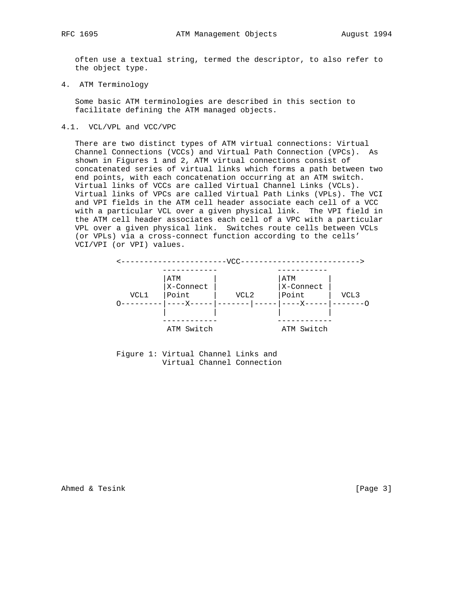often use a textual string, termed the descriptor, to also refer to the object type.

4. ATM Terminology

 Some basic ATM terminologies are described in this section to facilitate defining the ATM managed objects.

4.1. VCL/VPL and VCC/VPC

 There are two distinct types of ATM virtual connections: Virtual Channel Connections (VCCs) and Virtual Path Connection (VPCs). As shown in Figures 1 and 2, ATM virtual connections consist of concatenated series of virtual links which forms a path between two end points, with each concatenation occurring at an ATM switch. Virtual links of VCCs are called Virtual Channel Links (VCLs). Virtual links of VPCs are called Virtual Path Links (VPLs). The VCI and VPI fields in the ATM cell header associate each cell of a VCC with a particular VCL over a given physical link. The VPI field in the ATM cell header associates each cell of a VPC with a particular VPL over a given physical link. Switches route cells between VCLs (or VPLs) via a cross-connect function according to the cells' VCI/VPI (or VPI) values.





Ahmed & Tesink [Page 3]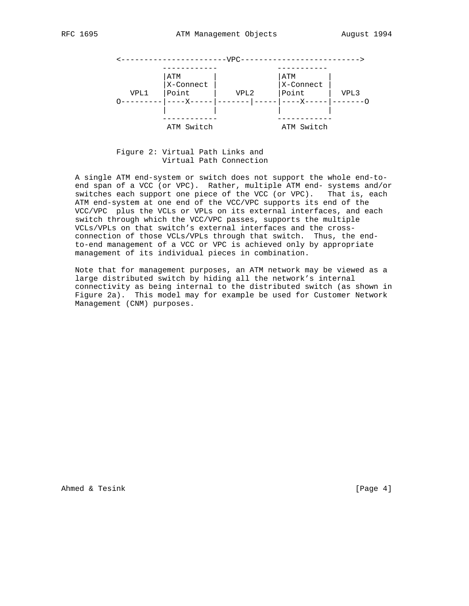

 Figure 2: Virtual Path Links and Virtual Path Connection

 A single ATM end-system or switch does not support the whole end-to end span of a VCC (or VPC). Rather, multiple ATM end- systems and/or switches each support one piece of the VCC (or VPC). That is, each ATM end-system at one end of the VCC/VPC supports its end of the VCC/VPC plus the VCLs or VPLs on its external interfaces, and each switch through which the VCC/VPC passes, supports the multiple VCLs/VPLs on that switch's external interfaces and the cross connection of those VCLs/VPLs through that switch. Thus, the end to-end management of a VCC or VPC is achieved only by appropriate management of its individual pieces in combination.

 Note that for management purposes, an ATM network may be viewed as a large distributed switch by hiding all the network's internal connectivity as being internal to the distributed switch (as shown in Figure 2a). This model may for example be used for Customer Network Management (CNM) purposes.

Ahmed & Tesink [Page 4]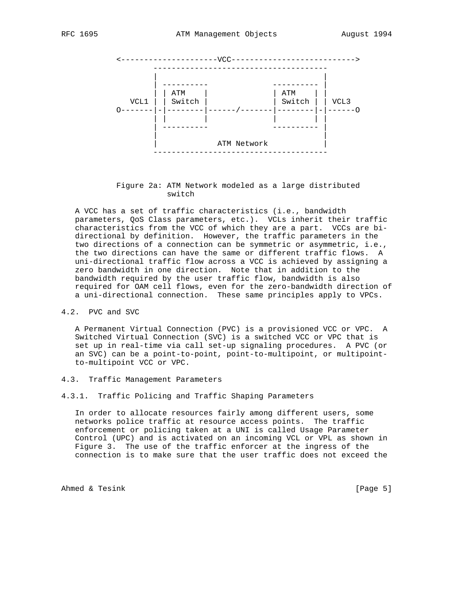

 Figure 2a: ATM Network modeled as a large distributed switch

 A VCC has a set of traffic characteristics (i.e., bandwidth parameters, QoS Class parameters, etc.). VCLs inherit their traffic characteristics from the VCC of which they are a part. VCCs are bi directional by definition. However, the traffic parameters in the two directions of a connection can be symmetric or asymmetric, i.e., the two directions can have the same or different traffic flows. A uni-directional traffic flow across a VCC is achieved by assigning a zero bandwidth in one direction. Note that in addition to the bandwidth required by the user traffic flow, bandwidth is also required for OAM cell flows, even for the zero-bandwidth direction of a uni-directional connection. These same principles apply to VPCs.

4.2. PVC and SVC

 A Permanent Virtual Connection (PVC) is a provisioned VCC or VPC. A Switched Virtual Connection (SVC) is a switched VCC or VPC that is set up in real-time via call set-up signaling procedures. A PVC (or an SVC) can be a point-to-point, point-to-multipoint, or multipoint to-multipoint VCC or VPC.

- 4.3. Traffic Management Parameters
- 4.3.1. Traffic Policing and Traffic Shaping Parameters

 In order to allocate resources fairly among different users, some networks police traffic at resource access points. The traffic enforcement or policing taken at a UNI is called Usage Parameter Control (UPC) and is activated on an incoming VCL or VPL as shown in Figure 3. The use of the traffic enforcer at the ingress of the connection is to make sure that the user traffic does not exceed the

Ahmed & Tesink [Page 5]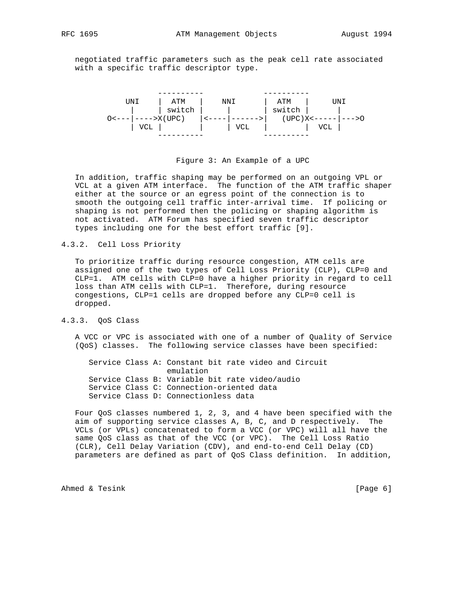negotiated traffic parameters such as the peak cell rate associated with a specific traffic descriptor type.



#### Figure 3: An Example of a UPC

 In addition, traffic shaping may be performed on an outgoing VPL or VCL at a given ATM interface. The function of the ATM traffic shaper either at the source or an egress point of the connection is to smooth the outgoing cell traffic inter-arrival time. If policing or shaping is not performed then the policing or shaping algorithm is not activated. ATM Forum has specified seven traffic descriptor types including one for the best effort traffic [9].

#### 4.3.2. Cell Loss Priority

 To prioritize traffic during resource congestion, ATM cells are assigned one of the two types of Cell Loss Priority (CLP), CLP=0 and CLP=1. ATM cells with CLP=0 have a higher priority in regard to cell loss than ATM cells with CLP=1. Therefore, during resource congestions, CLP=1 cells are dropped before any CLP=0 cell is dropped.

# 4.3.3. QoS Class

 A VCC or VPC is associated with one of a number of Quality of Service (QoS) classes. The following service classes have been specified:

 Service Class A: Constant bit rate video and Circuit emulation Service Class B: Variable bit rate video/audio Service Class C: Connection-oriented data Service Class D: Connectionless data

 Four QoS classes numbered 1, 2, 3, and 4 have been specified with the aim of supporting service classes A, B, C, and D respectively. The VCLs (or VPLs) concatenated to form a VCC (or VPC) will all have the same QoS class as that of the VCC (or VPC). The Cell Loss Ratio (CLR), Cell Delay Variation (CDV), and end-to-end Cell Delay (CD) parameters are defined as part of QoS Class definition. In addition,

Ahmed & Tesink [Page 6]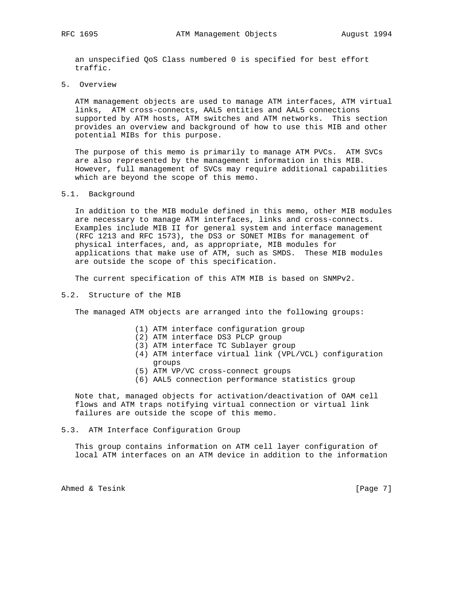an unspecified QoS Class numbered 0 is specified for best effort traffic.

5. Overview

 ATM management objects are used to manage ATM interfaces, ATM virtual links, ATM cross-connects, AAL5 entities and AAL5 connections supported by ATM hosts, ATM switches and ATM networks. This section provides an overview and background of how to use this MIB and other potential MIBs for this purpose.

 The purpose of this memo is primarily to manage ATM PVCs. ATM SVCs are also represented by the management information in this MIB. However, full management of SVCs may require additional capabilities which are beyond the scope of this memo.

#### 5.1. Background

 In addition to the MIB module defined in this memo, other MIB modules are necessary to manage ATM interfaces, links and cross-connects. Examples include MIB II for general system and interface management (RFC 1213 and RFC 1573), the DS3 or SONET MIBs for management of physical interfaces, and, as appropriate, MIB modules for applications that make use of ATM, such as SMDS. These MIB modules are outside the scope of this specification.

The current specification of this ATM MIB is based on SNMPv2.

#### 5.2. Structure of the MIB

The managed ATM objects are arranged into the following groups:

- (1) ATM interface configuration group
- (2) ATM interface DS3 PLCP group
- (3) ATM interface TC Sublayer group
- (4) ATM interface virtual link (VPL/VCL) configuration groups
- (5) ATM VP/VC cross-connect groups
- (6) AAL5 connection performance statistics group

 Note that, managed objects for activation/deactivation of OAM cell flows and ATM traps notifying virtual connection or virtual link failures are outside the scope of this memo.

#### 5.3. ATM Interface Configuration Group

 This group contains information on ATM cell layer configuration of local ATM interfaces on an ATM device in addition to the information

Ahmed & Tesink [Page 7]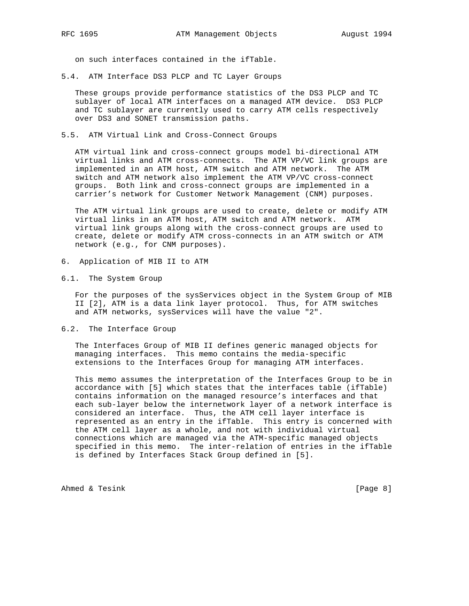on such interfaces contained in the ifTable.

5.4. ATM Interface DS3 PLCP and TC Layer Groups

 These groups provide performance statistics of the DS3 PLCP and TC sublayer of local ATM interfaces on a managed ATM device. DS3 PLCP and TC sublayer are currently used to carry ATM cells respectively over DS3 and SONET transmission paths.

5.5. ATM Virtual Link and Cross-Connect Groups

 ATM virtual link and cross-connect groups model bi-directional ATM virtual links and ATM cross-connects. The ATM VP/VC link groups are implemented in an ATM host, ATM switch and ATM network. The ATM switch and ATM network also implement the ATM VP/VC cross-connect groups. Both link and cross-connect groups are implemented in a carrier's network for Customer Network Management (CNM) purposes.

 The ATM virtual link groups are used to create, delete or modify ATM virtual links in an ATM host, ATM switch and ATM network. ATM virtual link groups along with the cross-connect groups are used to create, delete or modify ATM cross-connects in an ATM switch or ATM network (e.g., for CNM purposes).

- 6. Application of MIB II to ATM
- 6.1. The System Group

 For the purposes of the sysServices object in the System Group of MIB II [2], ATM is a data link layer protocol. Thus, for ATM switches and ATM networks, sysServices will have the value "2".

6.2. The Interface Group

 The Interfaces Group of MIB II defines generic managed objects for managing interfaces. This memo contains the media-specific extensions to the Interfaces Group for managing ATM interfaces.

 This memo assumes the interpretation of the Interfaces Group to be in accordance with [5] which states that the interfaces table (ifTable) contains information on the managed resource's interfaces and that each sub-layer below the internetwork layer of a network interface is considered an interface. Thus, the ATM cell layer interface is represented as an entry in the ifTable. This entry is concerned with the ATM cell layer as a whole, and not with individual virtual connections which are managed via the ATM-specific managed objects specified in this memo. The inter-relation of entries in the ifTable is defined by Interfaces Stack Group defined in [5].

Ahmed & Tesink [Page 8]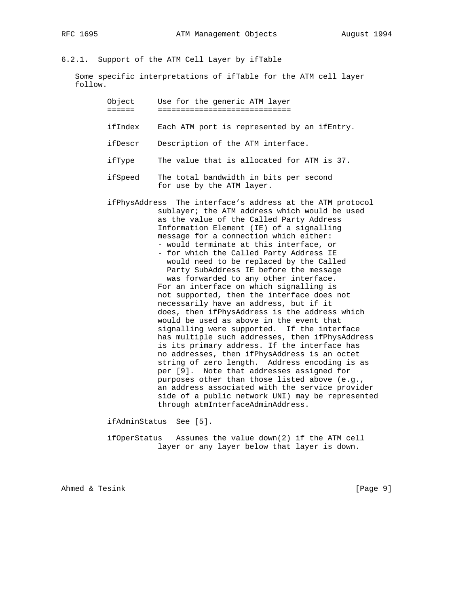# 6.2.1. Support of the ATM Cell Layer by ifTable

 Some specific interpretations of ifTable for the ATM cell layer follow.

> Object Use for the generic ATM layer ====== =============================

ifIndex Each ATM port is represented by an ifEntry.

ifDescr Description of the ATM interface.

ifType The value that is allocated for ATM is 37.

 ifSpeed The total bandwidth in bits per second for use by the ATM layer.

 ifPhysAddress The interface's address at the ATM protocol sublayer; the ATM address which would be used as the value of the Called Party Address Information Element (IE) of a signalling message for a connection which either: - would terminate at this interface, or - for which the Called Party Address IE would need to be replaced by the Called Party SubAddress IE before the message was forwarded to any other interface.

 For an interface on which signalling is not supported, then the interface does not necessarily have an address, but if it does, then ifPhysAddress is the address which would be used as above in the event that signalling were supported. If the interface has multiple such addresses, then ifPhysAddress is its primary address. If the interface has no addresses, then ifPhysAddress is an octet string of zero length. Address encoding is as per [9]. Note that addresses assigned for purposes other than those listed above (e.g., an address associated with the service provider side of a public network UNI) may be represented through atmInterfaceAdminAddress.

ifAdminStatus See [5].

 ifOperStatus Assumes the value down(2) if the ATM cell layer or any layer below that layer is down.

Ahmed & Tesink [Page 9]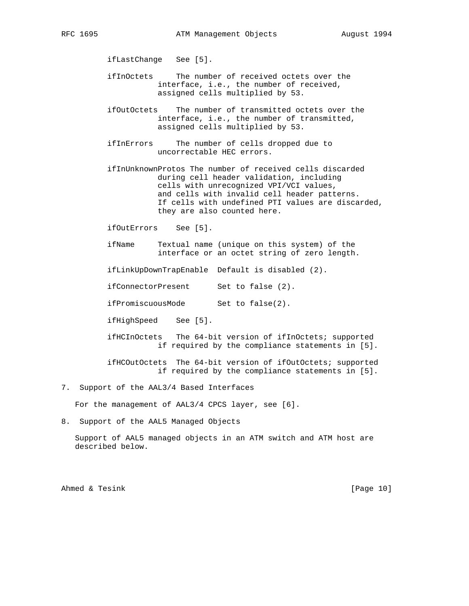ifLastChange See [5].

- ifInOctets The number of received octets over the interface, i.e., the number of received, assigned cells multiplied by 53.
- ifOutOctets The number of transmitted octets over the interface, i.e., the number of transmitted, assigned cells multiplied by 53.
- ifInErrors The number of cells dropped due to uncorrectable HEC errors.
- ifInUnknownProtos The number of received cells discarded during cell header validation, including cells with unrecognized VPI/VCI values, and cells with invalid cell header patterns. If cells with undefined PTI values are discarded, they are also counted here.

ifOutErrors See [5].

 ifName Textual name (unique on this system) of the interface or an octet string of zero length.

ifLinkUpDownTrapEnable Default is disabled (2).

ifConnectorPresent Set to false (2).

ifPromiscuousMode Set to false(2).

ifHighSpeed See [5].

 ifHCInOctets The 64-bit version of ifInOctets; supported if required by the compliance statements in [5].

 ifHCOutOctets The 64-bit version of ifOutOctets; supported if required by the compliance statements in [5].

7. Support of the AAL3/4 Based Interfaces

For the management of AAL3/4 CPCS layer, see [6].

8. Support of the AAL5 Managed Objects

 Support of AAL5 managed objects in an ATM switch and ATM host are described below.

Ahmed & Tesink [Page 10]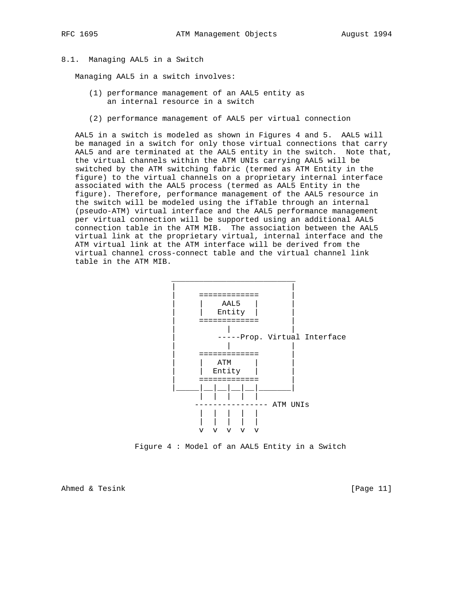#### 8.1. Managing AAL5 in a Switch

Managing AAL5 in a switch involves:

- (1) performance management of an AAL5 entity as an internal resource in a switch
- (2) performance management of AAL5 per virtual connection

 AAL5 in a switch is modeled as shown in Figures 4 and 5. AAL5 will be managed in a switch for only those virtual connections that carry AAL5 and are terminated at the AAL5 entity in the switch. Note that, the virtual channels within the ATM UNIs carrying AAL5 will be switched by the ATM switching fabric (termed as ATM Entity in the figure) to the virtual channels on a proprietary internal interface associated with the AAL5 process (termed as AAL5 Entity in the figure). Therefore, performance management of the AAL5 resource in the switch will be modeled using the ifTable through an internal (pseudo-ATM) virtual interface and the AAL5 performance management per virtual connection will be supported using an additional AAL5 connection table in the ATM MIB. The association between the AAL5 virtual link at the proprietary virtual, internal interface and the ATM virtual link at the ATM interface will be derived from the virtual channel cross-connect table and the virtual channel link table in the ATM MIB.



Figure 4 : Model of an AAL5 Entity in a Switch

Ahmed & Tesink [Page 11]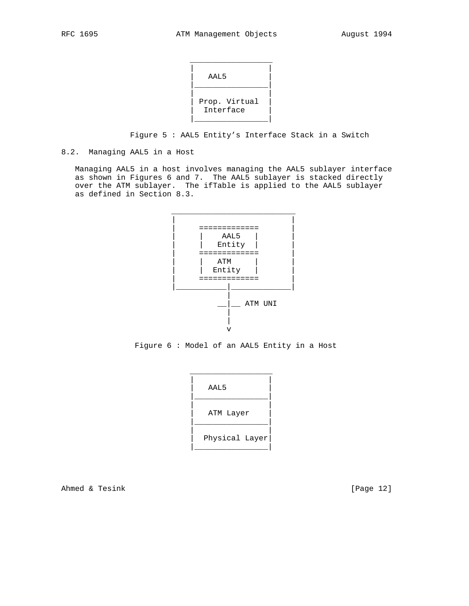| AAL5                       |
|----------------------------|
| Prop. Virtual<br>Interface |

Figure 5 : AAL5 Entity's Interface Stack in a Switch

# 8.2. Managing AAL5 in a Host

 Managing AAL5 in a host involves managing the AAL5 sublayer interface as shown in Figures 6 and 7. The AAL5 sublayer is stacked directly over the ATM sublayer. The ifTable is applied to the AAL5 sublayer as defined in Section 8.3.



Figure 6 : Model of an AAL5 Entity in a Host

| AAL5           |
|----------------|
| ATM Layer      |
| Physical Layer |

Ahmed & Tesink [Page 12]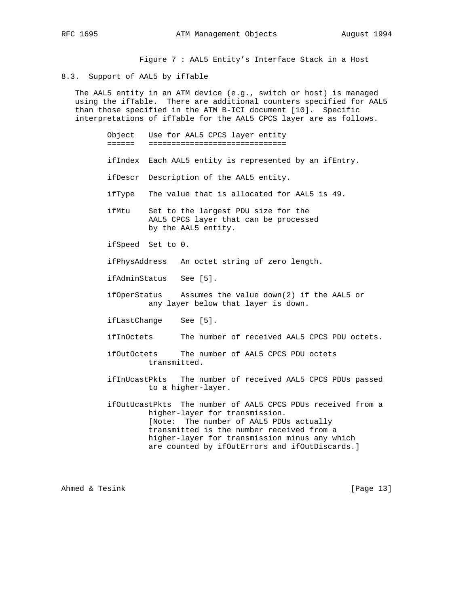Figure 7 : AAL5 Entity's Interface Stack in a Host

#### 8.3. Support of AAL5 by ifTable

 The AAL5 entity in an ATM device (e.g., switch or host) is managed using the ifTable. There are additional counters specified for AAL5 than those specified in the ATM B-ICI document [10]. Specific interpretations of ifTable for the AAL5 CPCS layer are as follows.

> Object Use for AAL5 CPCS layer entity ====== ==============================

- ifIndex Each AAL5 entity is represented by an ifEntry.
- ifDescr Description of the AAL5 entity.
- ifType The value that is allocated for AAL5 is 49.
- ifMtu Set to the largest PDU size for the AAL5 CPCS layer that can be processed by the AAL5 entity.
- ifSpeed Set to 0.
- ifPhysAddress An octet string of zero length.
- ifAdminStatus See [5].
- ifOperStatus Assumes the value down(2) if the AAL5 or any layer below that layer is down.
- ifLastChange See [5].
- ifInOctets The number of received AAL5 CPCS PDU octets.
- ifOutOctets The number of AAL5 CPCS PDU octets transmitted.
- ifInUcastPkts The number of received AAL5 CPCS PDUs passed to a higher-layer.
- ifOutUcastPkts The number of AAL5 CPCS PDUs received from a higher-layer for transmission. [Note: The number of AAL5 PDUs actually transmitted is the number received from a higher-layer for transmission minus any which are counted by ifOutErrors and ifOutDiscards.]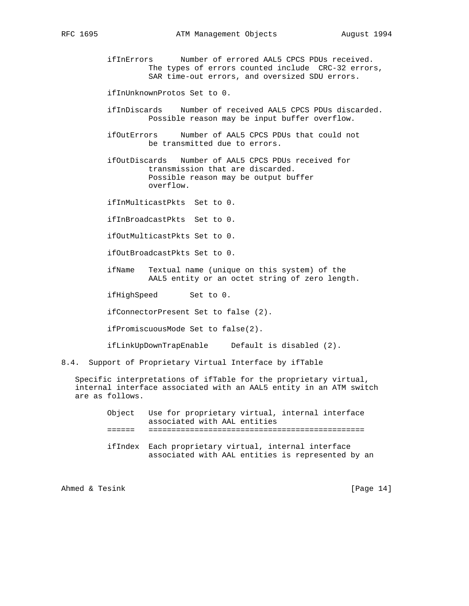ifInErrors Number of errored AAL5 CPCS PDUs received. The types of errors counted include CRC-32 errors, SAR time-out errors, and oversized SDU errors.

ifInUnknownProtos Set to 0.

- ifInDiscards Number of received AAL5 CPCS PDUs discarded. Possible reason may be input buffer overflow.
- ifOutErrors Number of AAL5 CPCS PDUs that could not be transmitted due to errors.

 ifOutDiscards Number of AAL5 CPCS PDUs received for transmission that are discarded. Possible reason may be output buffer overflow.

ifInMulticastPkts Set to 0.

ifInBroadcastPkts Set to 0.

ifOutMulticastPkts Set to 0.

ifOutBroadcastPkts Set to 0.

 ifName Textual name (unique on this system) of the AAL5 entity or an octet string of zero length.

ifHighSpeed Set to 0.

ifConnectorPresent Set to false (2).

ifPromiscuousMode Set to false(2).

ifLinkUpDownTrapEnable Default is disabled (2).

8.4. Support of Proprietary Virtual Interface by ifTable

 Specific interpretations of ifTable for the proprietary virtual, internal interface associated with an AAL5 entity in an ATM switch are as follows.

| Object Use for proprietary virtual, internal interface |  |  |
|--------------------------------------------------------|--|--|
| associated with AAL entities                           |  |  |

- ====== ===============================================
- ifIndex Each proprietary virtual, internal interface associated with AAL entities is represented by an

Ahmed & Tesink [Page 14]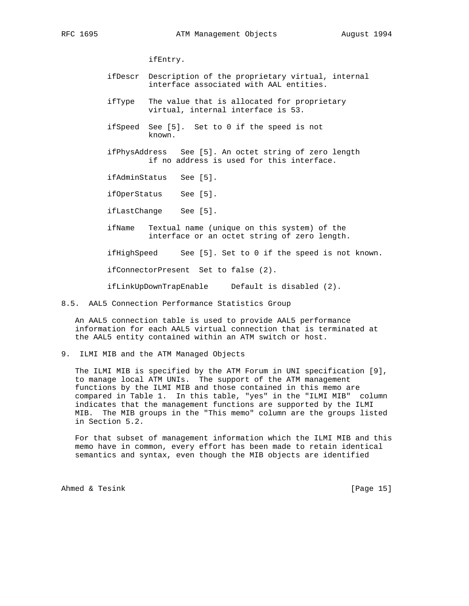ifEntry.

- ifDescr Description of the proprietary virtual, internal interface associated with AAL entities.
- ifType The value that is allocated for proprietary virtual, internal interface is 53.
- ifSpeed See [5]. Set to 0 if the speed is not known.
- ifPhysAddress See [5]. An octet string of zero length if no address is used for this interface.

ifAdminStatus See [5].

ifOperStatus See [5].

ifLastChange See [5].

 ifName Textual name (unique on this system) of the interface or an octet string of zero length.

ifHighSpeed See [5]. Set to 0 if the speed is not known.

ifConnectorPresent Set to false (2).

ifLinkUpDownTrapEnable Default is disabled (2).

8.5. AAL5 Connection Performance Statistics Group

 An AAL5 connection table is used to provide AAL5 performance information for each AAL5 virtual connection that is terminated at the AAL5 entity contained within an ATM switch or host.

9. ILMI MIB and the ATM Managed Objects

 The ILMI MIB is specified by the ATM Forum in UNI specification [9], to manage local ATM UNIs. The support of the ATM management functions by the ILMI MIB and those contained in this memo are compared in Table 1. In this table, "yes" in the "ILMI MIB" column indicates that the management functions are supported by the ILMI MIB. The MIB groups in the "This memo" column are the groups listed in Section 5.2.

 For that subset of management information which the ILMI MIB and this memo have in common, every effort has been made to retain identical semantics and syntax, even though the MIB objects are identified

Ahmed & Tesink [Page 15]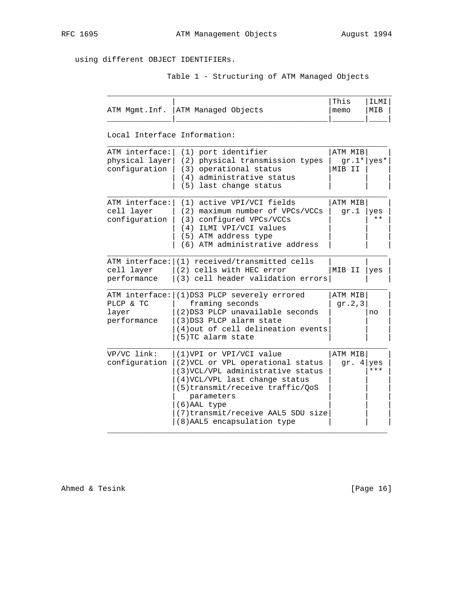$\mathcal{L}_\text{max} = \frac{1}{2} \sum_{i=1}^{n} \frac{1}{2} \sum_{i=1}^{n} \frac{1}{2} \sum_{i=1}^{n} \frac{1}{2} \sum_{i=1}^{n} \frac{1}{2} \sum_{i=1}^{n} \frac{1}{2} \sum_{i=1}^{n} \frac{1}{2} \sum_{i=1}^{n} \frac{1}{2} \sum_{i=1}^{n} \frac{1}{2} \sum_{i=1}^{n} \frac{1}{2} \sum_{i=1}^{n} \frac{1}{2} \sum_{i=1}^{n} \frac{1}{2} \sum_{i=1}^{n} \frac{1$ 

# using different OBJECT IDENTIFIERs.

Table 1 - Structuring of ATM Managed Objects

| ATM Mgmt.Inf.                                     | ATM Managed Objects                                                                                                                                                                                                                                                           | This<br>memo                      | ILMI<br>MIB |
|---------------------------------------------------|-------------------------------------------------------------------------------------------------------------------------------------------------------------------------------------------------------------------------------------------------------------------------------|-----------------------------------|-------------|
| Local Interface Information:                      |                                                                                                                                                                                                                                                                               |                                   |             |
| ATM interface:<br>physical layer<br>configuration | (1) port identifier<br>(2) physical transmission types<br>(3) operational status<br>(4) administrative status<br>(5) last change status                                                                                                                                       | ATM MIB<br>$gr.1* yes*$<br>MIB II |             |
| ATM interface:<br>cell layer<br>configuration     | (1) active VPI/VCI fields<br>(2) maximum number of VPCs/VCCs<br>(3) configured VPCs/VCCs<br>(4) ILMI VPI/VCI values<br>(5) ATM address type<br>(6) ATM administrative address                                                                                                 | ATM MIB<br>qr.1                   | yes<br>* *  |
| cell layer<br>performance                         | ATM interface: (1) received/transmitted cells<br>(2) cells with HEC error<br>(3) cell header validation errors                                                                                                                                                                | MIB II                            | yes         |
| PLCP & TC<br>layer<br>performance                 | ATM interface: (1)DS3 PLCP severely errored<br>framing seconds<br>(2) DS3 PLCP unavailable seconds<br>(3) DS3 PLCP alarm state<br>(4) out of cell delineation events<br>(5)TC alarm state                                                                                     | ATM MIB<br>gr. $2, 3$             | no          |
| VP/VC link:<br>configuration                      | (1) VPI or VPI/VCI value<br>(2) VCL or VPL operational status<br>(3) VCL/VPL administrative status<br>(4) VCL/VPL last change status<br>$(5)$ transmit/receive traffic/QoS<br>parameters<br>(6) AAL type<br>(7) transmit/receive AAL5 SDU size<br>(8) AAL5 encapsulation type | ATM MIB<br>gr. $4$ yes            | ***         |

Ahmed & Tesink [Page 16]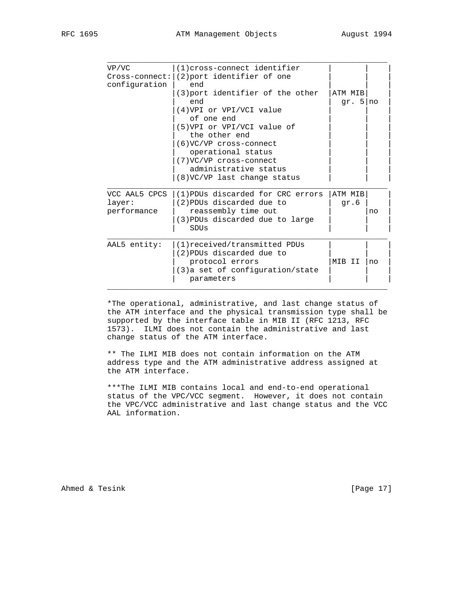| VP/VC         | (1) cross-connect identifier                           |            |
|---------------|--------------------------------------------------------|------------|
| configuration | $Cross-connected:   (2)$ port identifier of one<br>end |            |
|               | (3) port identifier of the other                       | ATM MIB    |
|               | end                                                    | gr. $5 no$ |
|               | (4) VPI or VPI/VCI value                               |            |
|               | of one end                                             |            |
|               | (5) VPI or VPI/VCI value of                            |            |
|               | the other end                                          |            |
|               | $(6)$ VC/VP cross-connect                              |            |
|               | operational status                                     |            |
|               | (7) VC/VP cross-connect                                |            |
|               | administrative status                                  |            |
|               | $(8)$ VC/VP last change status                         |            |
| VCC AAL5 CPCS | (1) PDUs discarded for CRC errors                      | ATM MIB    |
| layer:        | (2) PDUs discarded due to                              | qr.6       |
| performance   | reassembly time out                                    |            |
|               | (3) PDUs discarded due to large                        |            |
|               | SDUs                                                   |            |
| AAL5 entity:  | (1) received/transmitted PDUs                          |            |
|               | (2) PDUs discarded due to                              |            |
|               | protocol errors                                        | MIB II     |
|               | $(3)$ a set of configuration/state                     |            |
|               |                                                        |            |

 \*The operational, administrative, and last change status of the ATM interface and the physical transmission type shall be supported by the interface table in MIB II (RFC 1213, RFC 1573). ILMI does not contain the administrative and last change status of the ATM interface.

 \*\* The ILMI MIB does not contain information on the ATM address type and the ATM administrative address assigned at the ATM interface.

 \*\*\*The ILMI MIB contains local and end-to-end operational status of the VPC/VCC segment. However, it does not contain the VPC/VCC administrative and last change status and the VCC AAL information.

Ahmed & Tesink [Page 17]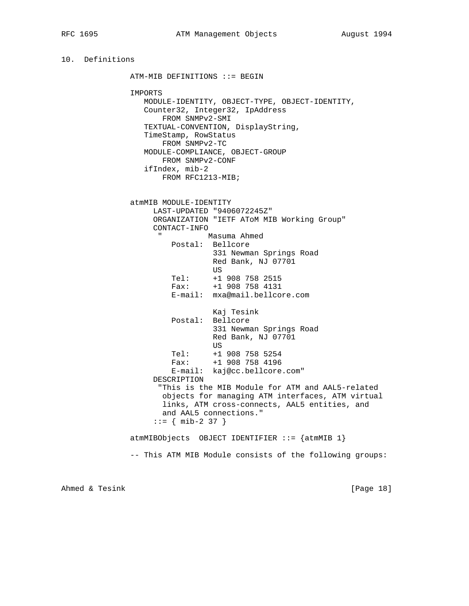```
10. Definitions
               ATM-MIB DEFINITIONS ::= BEGIN
               IMPORTS
                 MODULE-IDENTITY, OBJECT-TYPE, OBJECT-IDENTITY,
                  Counter32, Integer32, IpAddress
                     FROM SNMPv2-SMI
                 TEXTUAL-CONVENTION, DisplayString,
                  TimeStamp, RowStatus
                     FROM SNMPv2-TC
                  MODULE-COMPLIANCE, OBJECT-GROUP
                     FROM SNMPv2-CONF
                  ifIndex, mib-2
                    FROM RFC1213-MIB;
               atmMIB MODULE-IDENTITY
                   LAST-UPDATED "9406072245Z"
                   ORGANIZATION "IETF AToM MIB Working Group"
                   CONTACT-INFO
                     " Masuma Ahmed
                       Postal: Bellcore
                                331 Newman Springs Road
                                Red Bank, NJ 07701
US
 Tel: +1 908 758 2515
 Fax: +1 908 758 4131
                       E-mail: mxa@mail.bellcore.com
                                Kaj Tesink
                       Postal: Bellcore
                                331 Newman Springs Road
                                Red Bank, NJ 07701
US
                      Tel: +1 908 758 5254<br>Fax: +1 908 758 4196
                               Fax: +1 908 758 4196
                       E-mail: kaj@cc.bellcore.com"
                   DESCRIPTION
                     "This is the MIB Module for ATM and AAL5-related
                     objects for managing ATM interfaces, ATM virtual
                     links, ATM cross-connects, AAL5 entities, and
                     and AAL5 connections."
                   ::= { mib-2 37 }
               atmMIBObjects OBJECT IDENTIFIER ::= {atmMIB 1}
               -- This ATM MIB Module consists of the following groups:
```
Ahmed & Tesink [Page 18]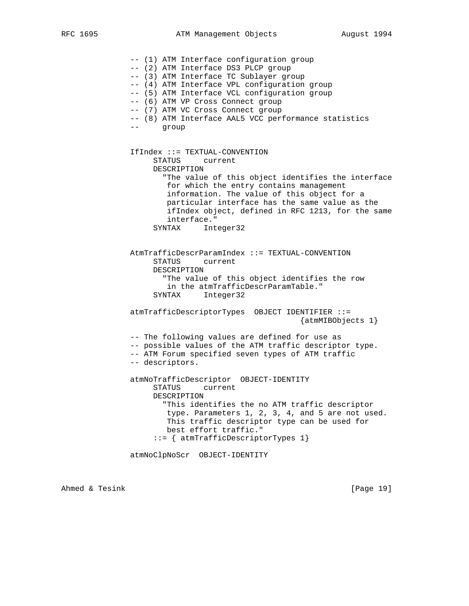-- (1) ATM Interface configuration group

 -- (2) ATM Interface DS3 PLCP group -- (3) ATM Interface TC Sublayer group -- (4) ATM Interface VPL configuration group -- (5) ATM Interface VCL configuration group -- (6) ATM VP Cross Connect group -- (7) ATM VC Cross Connect group -- (8) ATM Interface AAL5 VCC performance statistics -- group IfIndex ::= TEXTUAL-CONVENTION STATUS current DESCRIPTION "The value of this object identifies the interface for which the entry contains management information. The value of this object for a particular interface has the same value as the ifIndex object, defined in RFC 1213, for the same interface." SYNTAX Integer32 AtmTrafficDescrParamIndex ::= TEXTUAL-CONVENTION STATUS current DESCRIPTION "The value of this object identifies the row in the atmTrafficDescrParamTable." SYNTAX Integer32 atmTrafficDescriptorTypes OBJECT IDENTIFIER ::= {atmMIBObjects 1} -- The following values are defined for use as -- possible values of the ATM traffic descriptor type. -- ATM Forum specified seven types of ATM traffic -- descriptors. atmNoTrafficDescriptor OBJECT-IDENTITY STATUS current DESCRIPTION "This identifies the no ATM traffic descriptor type. Parameters 1, 2, 3, 4, and 5 are not used. This traffic descriptor type can be used for best effort traffic." ::= { atmTrafficDescriptorTypes 1} atmNoClpNoScr OBJECT-IDENTITY

Ahmed & Tesink [Page 19]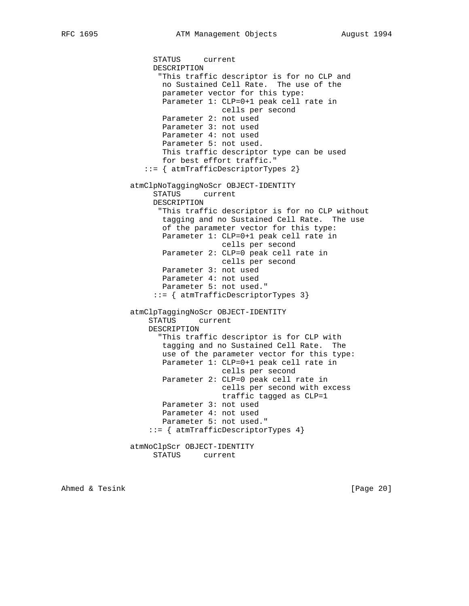STATUS current DESCRIPTION "This traffic descriptor is for no CLP and no Sustained Cell Rate. The use of the parameter vector for this type: Parameter 1: CLP=0+1 peak cell rate in cells per second Parameter 2: not used Parameter 3: not used Parameter 4: not used Parameter 5: not used. This traffic descriptor type can be used for best effort traffic." ::= { atmTrafficDescriptorTypes 2} atmClpNoTaggingNoScr OBJECT-IDENTITY STATUS current DESCRIPTION "This traffic descriptor is for no CLP without tagging and no Sustained Cell Rate. The use of the parameter vector for this type: Parameter 1: CLP=0+1 peak cell rate in cells per second Parameter 2: CLP=0 peak cell rate in cells per second Parameter 3: not used Parameter 4: not used Parameter 5: not used." ::= { atmTrafficDescriptorTypes 3} atmClpTaggingNoScr OBJECT-IDENTITY STATUS current DESCRIPTION "This traffic descriptor is for CLP with tagging and no Sustained Cell Rate. The use of the parameter vector for this type: Parameter 1: CLP=0+1 peak cell rate in cells per second Parameter 2: CLP=0 peak cell rate in cells per second with excess traffic tagged as CLP=1 Parameter 3: not used Parameter 4: not used Parameter 5: not used." ::= { atmTrafficDescriptorTypes 4} atmNoClpScr OBJECT-IDENTITY STATUS current

Ahmed & Tesink [Page 20]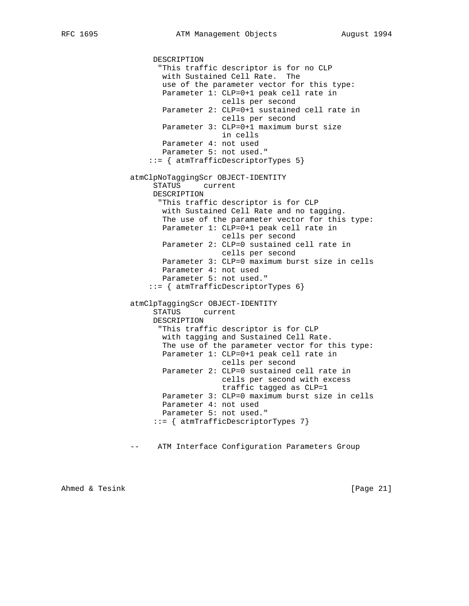DESCRIPTION "This traffic descriptor is for no CLP with Sustained Cell Rate. The use of the parameter vector for this type: Parameter 1: CLP=0+1 peak cell rate in cells per second Parameter 2: CLP=0+1 sustained cell rate in cells per second Parameter 3: CLP=0+1 maximum burst size in cells Parameter 4: not used Parameter 5: not used." ::= { atmTrafficDescriptorTypes 5} atmClpNoTaggingScr OBJECT-IDENTITY STATUS current DESCRIPTION "This traffic descriptor is for CLP with Sustained Cell Rate and no tagging. The use of the parameter vector for this type: Parameter 1: CLP=0+1 peak cell rate in cells per second Parameter 2: CLP=0 sustained cell rate in cells per second Parameter 3: CLP=0 maximum burst size in cells Parameter 4: not used Parameter 5: not used." ::= { atmTrafficDescriptorTypes 6} atmClpTaggingScr OBJECT-IDENTITY STATUS current DESCRIPTION "This traffic descriptor is for CLP with tagging and Sustained Cell Rate. The use of the parameter vector for this type: Parameter 1: CLP=0+1 peak cell rate in cells per second Parameter 2: CLP=0 sustained cell rate in cells per second with excess traffic tagged as CLP=1 Parameter 3: CLP=0 maximum burst size in cells Parameter 4: not used Parameter 5: not used." ::= { atmTrafficDescriptorTypes 7} -- ATM Interface Configuration Parameters Group

Ahmed & Tesink [Page 21]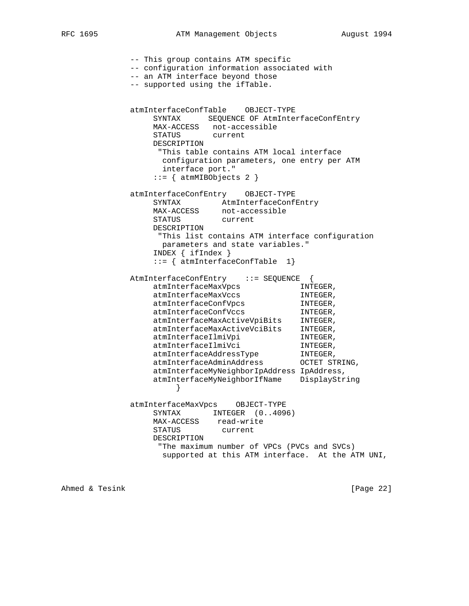```
 -- This group contains ATM specific
             -- configuration information associated with
             -- an ATM interface beyond those
             -- supported using the ifTable.
             atmInterfaceConfTable OBJECT-TYPE
                SYNTAX SEQUENCE OF AtmInterfaceConfEntry
                MAX-ACCESS not-accessible
                STATUS current
                DESCRIPTION
                 "This table contains ATM local interface
                  configuration parameters, one entry per ATM
                  interface port."
                ::= { atmMIBObjects 2 }
             atmInterfaceConfEntry OBJECT-TYPE
                SYNTAX AtmInterfaceConfEntry
                MAX-ACCESS not-accessible
                STATUS current
                DESCRIPTION
                 "This list contains ATM interface configuration
                  parameters and state variables."
                 INDEX { ifIndex }
                 ::= { atmInterfaceConfTable 1}
             AtmInterfaceConfEntry ::= SEQUENCE {
atmInterfaceMaxVpcs Manusculing INTEGER,
atmInterfaceMaxVccs Manusculing INTEGER,
atmInterfaceConfVpcs MINTEGER,
atmInterfaceConfVccs MINTEGER,
 atmInterfaceMaxActiveVpiBits INTEGER,
 atmInterfaceMaxActiveVciBits INTEGER,
atmInterfaceIlmiVpi in INTEGER,
atmInterfaceIlmiVci INTEGER,
 atmInterfaceAddressType INTEGER,
 atmInterfaceAdminAddress OCTET STRING,
                 atmInterfaceMyNeighborIpAddress IpAddress,
                 atmInterfaceMyNeighborIfName DisplayString
 }
             atmInterfaceMaxVpcs OBJECT-TYPE
               SYNTAX INTEGER (0..4096)
                MAX-ACCESS read-write
                STATUS current
                DESCRIPTION
                  "The maximum number of VPCs (PVCs and SVCs)
                  supported at this ATM interface. At the ATM UNI,
```
Ahmed & Tesink [Page 22]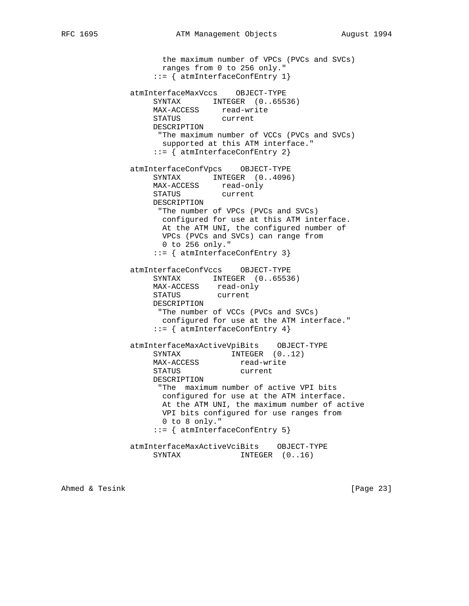the maximum number of VPCs (PVCs and SVCs) ranges from 0 to 256 only." ::= { atmInterfaceConfEntry 1} atmInterfaceMaxVccs OBJECT-TYPE SYNTAX INTEGER (0..65536) MAX-ACCESS read-write STATUS current DESCRIPTION "The maximum number of VCCs (PVCs and SVCs) supported at this ATM interface." ::= { atmInterfaceConfEntry 2} atmInterfaceConfVpcs OBJECT-TYPE SYNTAX INTEGER (0..4096) MAX-ACCESS read-only STATUS current DESCRIPTION "The number of VPCs (PVCs and SVCs) configured for use at this ATM interface. At the ATM UNI, the configured number of VPCs (PVCs and SVCs) can range from 0 to 256 only." ::= { atmInterfaceConfEntry 3} atmInterfaceConfVccs OBJECT-TYPE SYNTAX INTEGER (0..65536) MAX-ACCESS read-only STATUS current DESCRIPTION "The number of VCCs (PVCs and SVCs) configured for use at the ATM interface." ::= { atmInterfaceConfEntry 4} atmInterfaceMaxActiveVpiBits OBJECT-TYPE SYNTAX INTEGER  $(0..12)$ <br>MAX-ACCESS read-write SINIAA<br>MAX-ACCESS read-wri<br>STATUS current STATUS DESCRIPTION "The maximum number of active VPI bits configured for use at the ATM interface. At the ATM UNI, the maximum number of active VPI bits configured for use ranges from 0 to 8 only." ::= { atmInterfaceConfEntry 5} atmInterfaceMaxActiveVciBits OBJECT-TYPE SYNTAX INTEGER  $(0..16)$ 

Ahmed & Tesink [Page 23]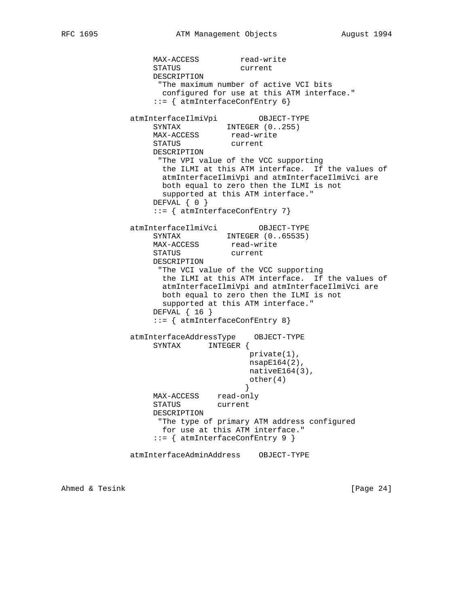MAX-ACCESS read-write STATUS current DESCRIPTION "The maximum number of active VCI bits configured for use at this ATM interface." ::= { atmInterfaceConfEntry 6} atmInterfaceIlmiVpi OBJECT-TYPE SYNTAX INTEGER  $(0..255)$ MAX-ACCESS read-write STATUS current DESCRIPTION "The VPI value of the VCC supporting the ILMI at this ATM interface. If the values of atmInterfaceIlmiVpi and atmInterfaceIlmiVci are both equal to zero then the ILMI is not supported at this ATM interface." DEFVAL { 0 } ::= { atmInterfaceConfEntry 7} atmInterfaceIlmiVci OBJECT-TYPE SYNTAX INTEGER (0..65535) MAX-ACCESS read-write STATUS current DESCRIPTION "The VCI value of the VCC supporting the ILMI at this ATM interface. If the values of atmInterfaceIlmiVpi and atmInterfaceIlmiVci are both equal to zero then the ILMI is not supported at this ATM interface." DEFVAL { 16 } ::= { atmInterfaceConfEntry 8} atmInterfaceAddressType OBJECT-TYPE SYNTAX INTEGER { private(1), nsapE164(2), nativeE164(3), other(4) } MAX-ACCESS read-only<br>STATUS current STATUS DESCRIPTION "The type of primary ATM address configured for use at this ATM interface." ::= { atmInterfaceConfEntry 9 } atmInterfaceAdminAddress OBJECT-TYPE

Ahmed & Tesink [Page 24]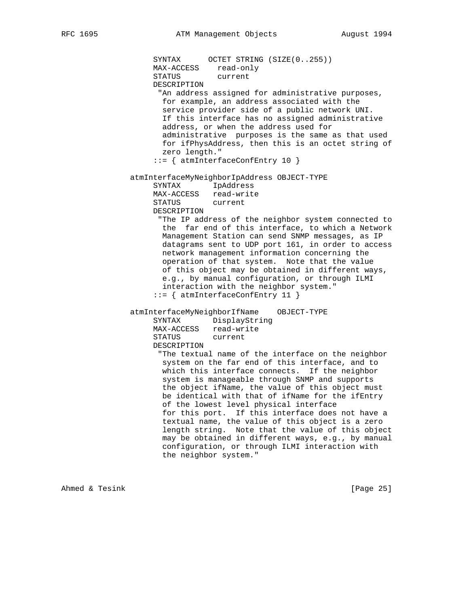SYNTAX OCTET STRING (SIZE(0..255)) MAX-ACCESS read-only STATUS current DESCRIPTION "An address assigned for administrative purposes, for example, an address associated with the service provider side of a public network UNI. If this interface has no assigned administrative address, or when the address used for administrative purposes is the same as that used for ifPhysAddress, then this is an octet string of zero length." ::= { atmInterfaceConfEntry 10 } atmInterfaceMyNeighborIpAddress OBJECT-TYPE SYNTAX IpAddress MAX-ACCESS read-write<br>STATUS current STATUS DESCRIPTION "The IP address of the neighbor system connected to the far end of this interface, to which a Network Management Station can send SNMP messages, as IP datagrams sent to UDP port 161, in order to access network management information concerning the operation of that system. Note that the value of this object may be obtained in different ways, e.g., by manual configuration, or through ILMI interaction with the neighbor system." ::= { atmInterfaceConfEntry 11 } atmInterfaceMyNeighborIfName OBJECT-TYPE SYNTAX DisplayString MAX-ACCESS read-write STATUS current DESCRIPTION "The textual name of the interface on the neighbor system on the far end of this interface, and to which this interface connects. If the neighbor system is manageable through SNMP and supports the object ifName, the value of this object must be identical with that of ifName for the ifEntry of the lowest level physical interface for this port. If this interface does not have a textual name, the value of this object is a zero length string. Note that the value of this object may be obtained in different ways, e.g., by manual configuration, or through ILMI interaction with the neighbor system."

Ahmed & Tesink [Page 25]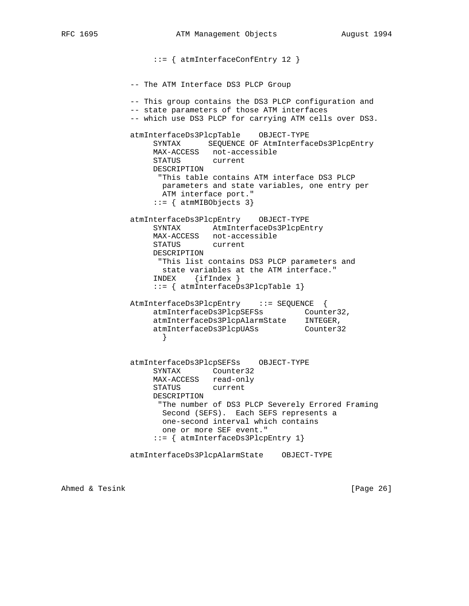::= { atmInterfaceConfEntry 12 } -- The ATM Interface DS3 PLCP Group -- This group contains the DS3 PLCP configuration and -- state parameters of those ATM interfaces -- which use DS3 PLCP for carrying ATM cells over DS3. atmInterfaceDs3PlcpTable OBJECT-TYPE SYNTAX SEQUENCE OF AtmInterfaceDs3PlcpEntry MAX-ACCESS not-accessible STATUS current DESCRIPTION "This table contains ATM interface DS3 PLCP parameters and state variables, one entry per ATM interface port."  $::=$  { atmMIBObjects 3} atmInterfaceDs3PlcpEntry OBJECT-TYPE SYNTAX AtmInterfaceDs3PlcpEntry MAX-ACCESS not-accessible STATUS current DESCRIPTION "This list contains DS3 PLCP parameters and state variables at the ATM interface." INDEX {ifIndex } ::= { atmInterfaceDs3PlcpTable 1} AtmInterfaceDs3PlcpEntry ::= SEQUENCE { atmInterfaceDs3PlcpSEFSs Counter32, atmInterfaceDs3PlcpAlarmState INTEGER, atmInterfaceDs3PlcpUASs Counter32 } atmInterfaceDs3PlcpSEFSs OBJECT-TYPE SYNTAX Counter32 MAX-ACCESS read-only STATUS current DESCRIPTION "The number of DS3 PLCP Severely Errored Framing Second (SEFS). Each SEFS represents a one-second interval which contains one or more SEF event." ::= { atmInterfaceDs3PlcpEntry 1} atmInterfaceDs3PlcpAlarmState OBJECT-TYPE

Ahmed & Tesink [Page 26]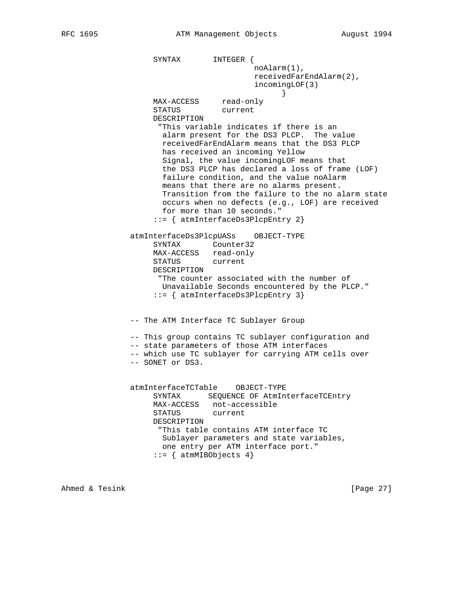SYNTAX INTEGER { noAlarm(1), receivedFarEndAlarm(2), incomingLOF(3) } MAX-ACCESS read-only STATUS current DESCRIPTION "This variable indicates if there is an alarm present for the DS3 PLCP. The value receivedFarEndAlarm means that the DS3 PLCP has received an incoming Yellow Signal, the value incomingLOF means that the DS3 PLCP has declared a loss of frame (LOF) failure condition, and the value noAlarm means that there are no alarms present. Transition from the failure to the no alarm state occurs when no defects (e.g., LOF) are received for more than 10 seconds." ::= { atmInterfaceDs3PlcpEntry 2} atmInterfaceDs3PlcpUASs OBJECT-TYPE SYNTAX Counter32 MAX-ACCESS read-only STATUS current DESCRIPTION "The counter associated with the number of Unavailable Seconds encountered by the PLCP." ::= { atmInterfaceDs3PlcpEntry 3} -- The ATM Interface TC Sublayer Group -- This group contains TC sublayer configuration and -- state parameters of those ATM interfaces -- which use TC sublayer for carrying ATM cells over -- SONET or DS3. atmInterfaceTCTable OBJECT-TYPE SYNTAX SEQUENCE OF AtmInterfaceTCEntry MAX-ACCESS not-accessible STATUS current DESCRIPTION "This table contains ATM interface TC Sublayer parameters and state variables, one entry per ATM interface port."  $::=$  { atmMIBObjects 4}

Ahmed & Tesink [Page 27]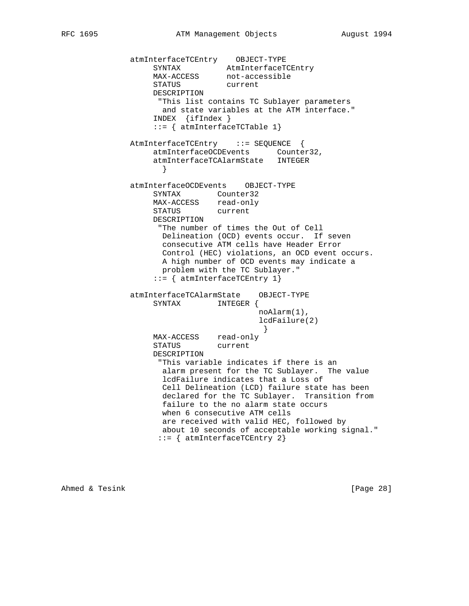```
 atmInterfaceTCEntry OBJECT-TYPE
SYNTAX AtmInterfaceTCEntry
MAX-ACCESS not-accessible
STATUS current
                  DESCRIPTION
                  "This list contains TC Sublayer parameters
                   and state variables at the ATM interface."
                  INDEX {ifIndex }
                  ::= { atmInterfaceTCTable 1}
             AtmInterfaceTCEntry ::= SEQUENCE {
                  atmInterfaceOCDEvents Counter32,
                  atmInterfaceTCAlarmState INTEGER
 }
              atmInterfaceOCDEvents OBJECT-TYPE
                  SYNTAX Counter32
                  MAX-ACCESS read-only
                  STATUS current
                  DESCRIPTION
                   "The number of times the Out of Cell
                   Delineation (OCD) events occur. If seven
                   consecutive ATM cells have Header Error
                   Control (HEC) violations, an OCD event occurs.
                   A high number of OCD events may indicate a
                   problem with the TC Sublayer."
                  ::= { atmInterfaceTCEntry 1}
              atmInterfaceTCAlarmState OBJECT-TYPE
                  SYNTAX INTEGER {
                                      noAlarm(1),
                                      lcdFailure(2)
 }
                  MAX-ACCESS read-only
                  STATUS current
                  DESCRIPTION
                   "This variable indicates if there is an
                    alarm present for the TC Sublayer. The value
                    lcdFailure indicates that a Loss of
                    Cell Delineation (LCD) failure state has been
                    declared for the TC Sublayer. Transition from
                    failure to the no alarm state occurs
                    when 6 consecutive ATM cells
                   are received with valid HEC, followed by
                   about 10 seconds of acceptable working signal."
                   ::= { atmInterfaceTCEntry 2}
```
Ahmed & Tesink [Page 28]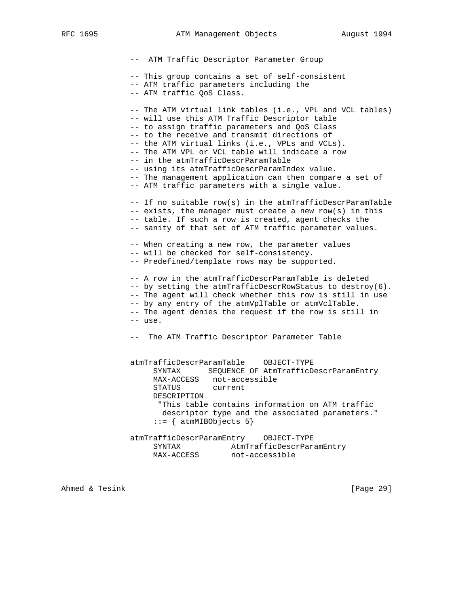RFC 1695 **ATM Management Objects** August 1994

 -- ATM Traffic Descriptor Parameter Group -- This group contains a set of self-consistent -- ATM traffic parameters including the -- ATM traffic QoS Class. -- The ATM virtual link tables (i.e., VPL and VCL tables) -- will use this ATM Traffic Descriptor table -- to assign traffic parameters and QoS Class -- to the receive and transmit directions of -- the ATM virtual links (i.e., VPLs and VCLs). -- The ATM VPL or VCL table will indicate a row -- in the atmTrafficDescrParamTable -- using its atmTrafficDescrParamIndex value. -- The management application can then compare a set of -- ATM traffic parameters with a single value. -- If no suitable row(s) in the atmTrafficDescrParamTable -- exists, the manager must create a new row(s) in this -- table. If such a row is created, agent checks the -- sanity of that set of ATM traffic parameter values. -- When creating a new row, the parameter values -- will be checked for self-consistency. -- Predefined/template rows may be supported. -- A row in the atmTrafficDescrParamTable is deleted -- by setting the atmTrafficDescrRowStatus to destroy(6). -- The agent will check whether this row is still in use -- by any entry of the atmVplTable or atmVclTable. -- The agent denies the request if the row is still in -- use. -- The ATM Traffic Descriptor Parameter Table atmTrafficDescrParamTable OBJECT-TYPE SYNTAX SEQUENCE OF AtmTrafficDescrParamEntry MAX-ACCESS not-accessible STATUS current DESCRIPTION "This table contains information on ATM traffic descriptor type and the associated parameters."  $::=$  { atmMIBObjects 5} atmTrafficDescrParamEntry OBJECT-TYPE SYNTAX AtmTrafficDescrParamEntry MAX-ACCESS not-accessible

Ahmed & Tesink [Page 29]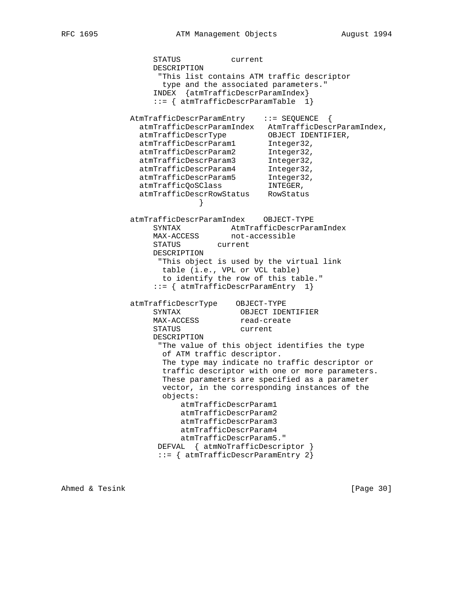STATUS current DESCRIPTION "This list contains ATM traffic descriptor type and the associated parameters." INDEX {atmTrafficDescrParamIndex} ::= { atmTrafficDescrParamTable 1} AtmTrafficDescrParamEntry ::= SEQUENCE { atmTrafficDescrParamIndex AtmTrafficDescrParamIndex, atmTrafficDescrType OBJECT IDENTIFIER, atmTrafficDescrParam1 Integer32, atmTrafficDescrParam2 Integer32, atmTrafficDescrParam3 Integer32, atmTrafficDescrParam4 Integer32, atmTrafficDescrParam5 Integer32, atmTrafficQoSClass **INTEGER**, atmTrafficDescrRowStatus RowStatus } atmTrafficDescrParamIndex OBJECT-TYPE SYNTAX AtmTrafficDescrParamIndex MAX-ACCESS not-accessible STATUS current DESCRIPTION "This object is used by the virtual link table (i.e., VPL or VCL table) to identify the row of this table." ::= { atmTrafficDescrParamEntry 1} atmTrafficDescrType OBJECT-TYPE SYNTAX OBJECT IDENTIFIER MAX-ACCESS read-create STATUS current DESCRIPTION "The value of this object identifies the type of ATM traffic descriptor. The type may indicate no traffic descriptor or traffic descriptor with one or more parameters. These parameters are specified as a parameter vector, in the corresponding instances of the objects: atmTrafficDescrParam1 atmTrafficDescrParam2 atmTrafficDescrParam3 atmTrafficDescrParam4 atmTrafficDescrParam5." DEFVAL { atmNoTrafficDescriptor } ::= { atmTrafficDescrParamEntry 2}

Ahmed & Tesink [Page 30]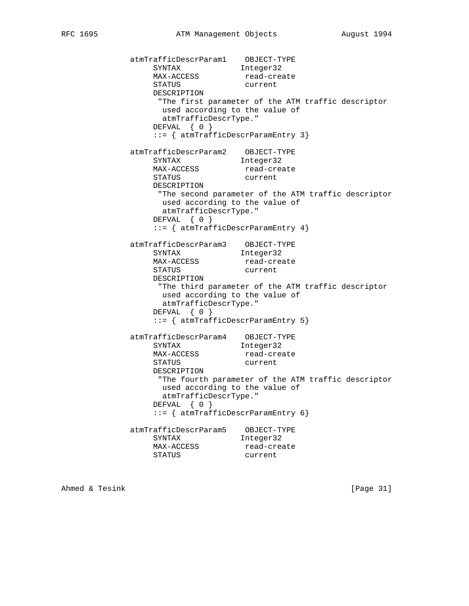atmTrafficDescrParam1 OBJECT-TYPE SYNTAX 50 Integer32 MAX-ACCESS read-create STATUS current DESCRIPTION "The first parameter of the ATM traffic descriptor used according to the value of atmTrafficDescrType." DEFVAL { 0 } ::= { atmTrafficDescrParamEntry 3} atmTrafficDescrParam2 OBJECT-TYPE SYNTAX 50 Integer32 MAX-ACCESS read-create status current DESCRIPTION "The second parameter of the ATM traffic descriptor used according to the value of atmTrafficDescrType." DEFVAL { 0 } ::= { atmTrafficDescrParamEntry 4} atmTrafficDescrParam3 OBJECT-TYPE SYNTAX Integer32 MAX-ACCESS read-create STATUS current DESCRIPTION "The third parameter of the ATM traffic descriptor used according to the value of atmTrafficDescrType." DEFVAL { 0 } ::= { atmTrafficDescrParamEntry 5} atmTrafficDescrParam4 OBJECT-TYPE SYNTAX 50 Integer32 MAX-ACCESS read-create STATUS current DESCRIPTION "The fourth parameter of the ATM traffic descriptor used according to the value of atmTrafficDescrType." DEFVAL { 0 } ::= { atmTrafficDescrParamEntry 6} atmTrafficDescrParam5 OBJECT-TYPE SYNTAX 50 Integer32 MAX-ACCESS read-create status current

Ahmed & Tesink [Page 31]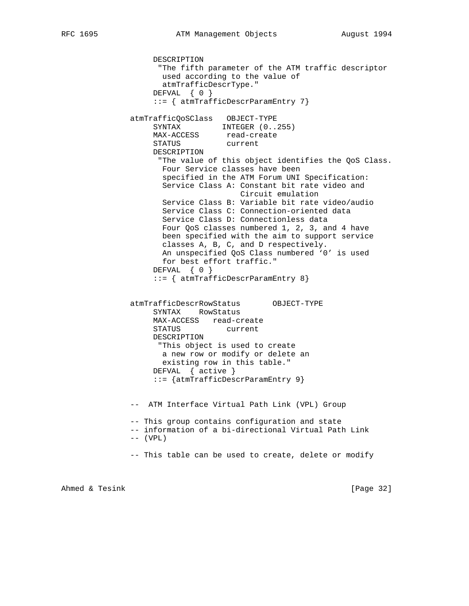```
 DESCRIPTION
                     "The fifth parameter of the ATM traffic descriptor
                     used according to the value of
                     atmTrafficDescrType."
                    DEFVAL { 0 }
                    ::= { atmTrafficDescrParamEntry 7}
               atmTrafficQoSClass OBJECT-TYPE
                   SYNTAX INTEGER (0..255)MAX-ACCESS read-create
STATUS current
                   DESCRIPTION
                     "The value of this object identifies the QoS Class.
                     Four Service classes have been
                      specified in the ATM Forum UNI Specification:
                      Service Class A: Constant bit rate video and
                                      Circuit emulation
                     Service Class B: Variable bit rate video/audio
                      Service Class C: Connection-oriented data
                      Service Class D: Connectionless data
                     Four QoS classes numbered 1, 2, 3, and 4 have
                     been specified with the aim to support service
                     classes A, B, C, and D respectively.
                     An unspecified QoS Class numbered '0' is used
                     for best effort traffic."
                   DEFVAL { 0 }
                    ::= { atmTrafficDescrParamEntry 8}
               atmTrafficDescrRowStatus OBJECT-TYPE
                   SYNTAX RowStatus
                   MAX-ACCESS read-create
                   STATUS current
                   DESCRIPTION
                    "This object is used to create
                     a new row or modify or delete an
                     existing row in this table."
                   DEFVAL { active }
                    ::= {atmTrafficDescrParamEntry 9}
               -- ATM Interface Virtual Path Link (VPL) Group
               -- This group contains configuration and state
               -- information of a bi-directional Virtual Path Link
              -- (VPL) -- This table can be used to create, delete or modify
```
Ahmed & Tesink [Page 32]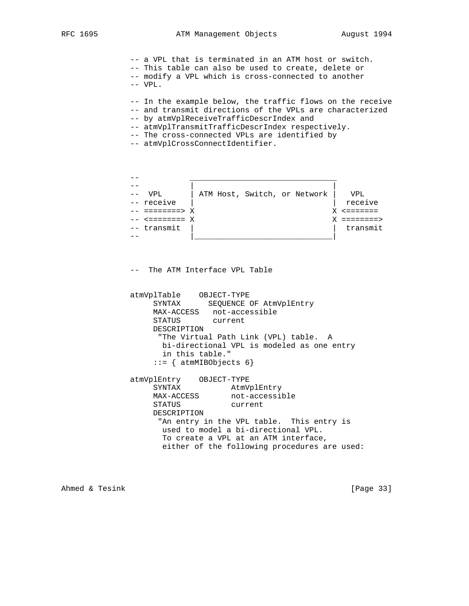-- a VPL that is terminated in an ATM host or switch. -- This table can also be used to create, delete or -- modify a VPL which is cross-connected to another -- VPL.

- -- In the example below, the traffic flows on the receive
- -- and transmit directions of the VPLs are characterized
- -- by atmVplReceiveTrafficDescrIndex and
- -- atmVplTransmitTrafficDescrIndex respectively.
- -- The cross-connected VPLs are identified by
- -- atmVplCrossConnectIdentifier.



-- The ATM Interface VPL Table

 atmVplTable OBJECT-TYPE SYNTAX SEQUENCE OF AtmVplEntry MAX-ACCESS not-accessible STATUS current DESCRIPTION "The Virtual Path Link (VPL) table. A bi-directional VPL is modeled as one entry in this table." ::= { atmMIBObjects 6}

 atmVplEntry OBJECT-TYPE SYNTAX AtmVplEntry MAX-ACCESS not-accessible STATUS current DESCRIPTION "An entry in the VPL table. This entry is used to model a bi-directional VPL. To create a VPL at an ATM interface, either of the following procedures are used:

Ahmed & Tesink [Page 33]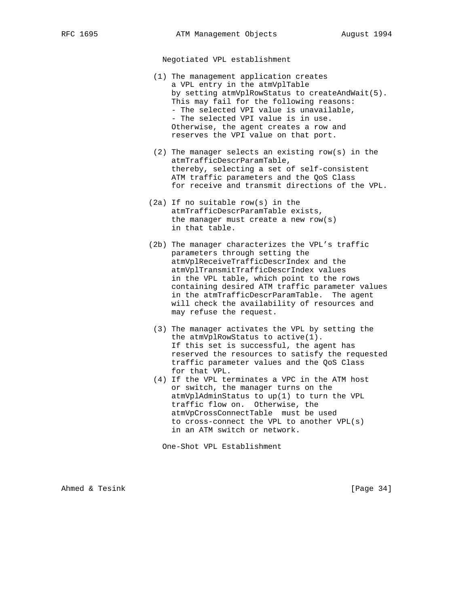Negotiated VPL establishment

- (1) The management application creates a VPL entry in the atmVplTable by setting atmVplRowStatus to createAndWait(5). This may fail for the following reasons: - The selected VPI value is unavailable, - The selected VPI value is in use. Otherwise, the agent creates a row and reserves the VPI value on that port.
- (2) The manager selects an existing row(s) in the atmTrafficDescrParamTable, thereby, selecting a set of self-consistent ATM traffic parameters and the QoS Class for receive and transmit directions of the VPL.
- (2a) If no suitable row(s) in the atmTrafficDescrParamTable exists, the manager must create a new row(s) in that table.
- (2b) The manager characterizes the VPL's traffic parameters through setting the atmVplReceiveTrafficDescrIndex and the atmVplTransmitTrafficDescrIndex values in the VPL table, which point to the rows containing desired ATM traffic parameter values in the atmTrafficDescrParamTable. The agent will check the availability of resources and may refuse the request.
- (3) The manager activates the VPL by setting the the atmVplRowStatus to active(1). If this set is successful, the agent has reserved the resources to satisfy the requested traffic parameter values and the QoS Class for that VPL.
- (4) If the VPL terminates a VPC in the ATM host or switch, the manager turns on the atmVplAdminStatus to up(1) to turn the VPL traffic flow on. Otherwise, the atmVpCrossConnectTable must be used to cross-connect the VPL to another VPL(s) in an ATM switch or network.

One-Shot VPL Establishment

Ahmed & Tesink [Page 34]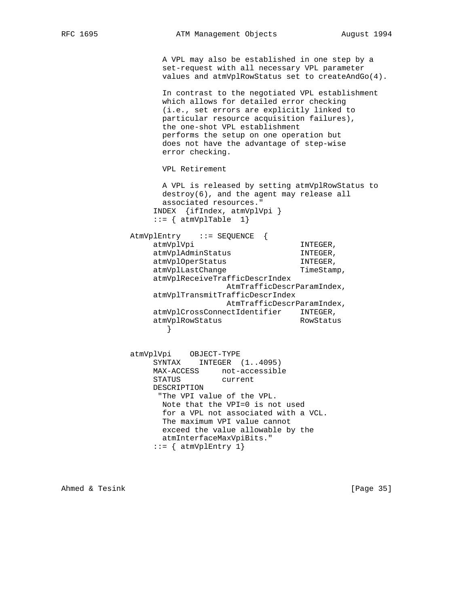A VPL may also be established in one step by a set-request with all necessary VPL parameter values and atmVplRowStatus set to createAndGo(4). In contrast to the negotiated VPL establishment which allows for detailed error checking (i.e., set errors are explicitly linked to particular resource acquisition failures), the one-shot VPL establishment performs the setup on one operation but does not have the advantage of step-wise error checking. VPL Retirement A VPL is released by setting atmVplRowStatus to destroy(6), and the agent may release all associated resources." INDEX {ifIndex, atmVplVpi }  $::=$  { atmVplTable 1} AtmVplEntry ::= SEQUENCE { atmVplVpi INTEGER, atmVplAdminStatus INTEGER, atmVplOperStatus INTEGER, atmVplLastChange TimeStamp, atmVplReceiveTrafficDescrIndex AtmTrafficDescrParamIndex, atmVplTransmitTrafficDescrIndex AtmTrafficDescrParamIndex, atmVplCrossConnectIdentifier INTEGER, atmVplRowStatus RowStatus } atmVplVpi OBJECT-TYPE SYNTAX INTEGER (1..4095) MAX-ACCESS not-accessible STATUS current DESCRIPTION "The VPI value of the VPL. Note that the VPI=0 is not used for a VPL not associated with a VCL. The maximum VPI value cannot exceed the value allowable by the atmInterfaceMaxVpiBits."

 $::=$  { atmVplEntry 1}

Ahmed & Tesink [Page 35]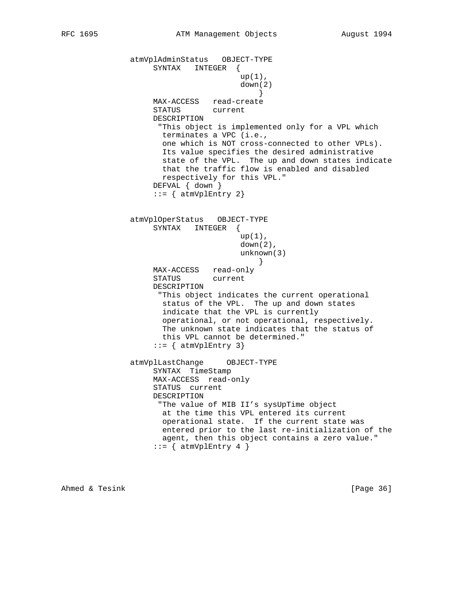```
 atmVplAdminStatus OBJECT-TYPE
                   SYNTAX INTEGER {
                                    up(1),
                                     down(2)
 }
                   MAX-ACCESS read-create
                   STATUS current
                   DESCRIPTION
                    "This object is implemented only for a VPL which
                     terminates a VPC (i.e.,
                     one which is NOT cross-connected to other VPLs).
                     Its value specifies the desired administrative
                     state of the VPL. The up and down states indicate
                     that the traffic flow is enabled and disabled
                     respectively for this VPL."
                   DEFVAL { down }
                  ::= { atmVplEntry 2}
               atmVplOperStatus OBJECT-TYPE
                   SYNTAX INTEGER {
                                    up(1),
                                    down(2),
                                     unknown(3)
 }
                   MAX-ACCESS read-only
                   STATUS current
                   DESCRIPTION
                    "This object indicates the current operational
                     status of the VPL. The up and down states
                     indicate that the VPL is currently
                     operational, or not operational, respectively.
                     The unknown state indicates that the status of
                     this VPL cannot be determined."
                  ::= { atmVplEntry 3}
               atmVplLastChange OBJECT-TYPE
                   SYNTAX TimeStamp
                   MAX-ACCESS read-only
                   STATUS current
                   DESCRIPTION
                    "The value of MIB II's sysUpTime object
                     at the time this VPL entered its current
                     operational state. If the current state was
                     entered prior to the last re-initialization of the
                     agent, then this object contains a zero value."
                  ::= { atmVplEntry 4 }
```
Ahmed & Tesink [Page 36]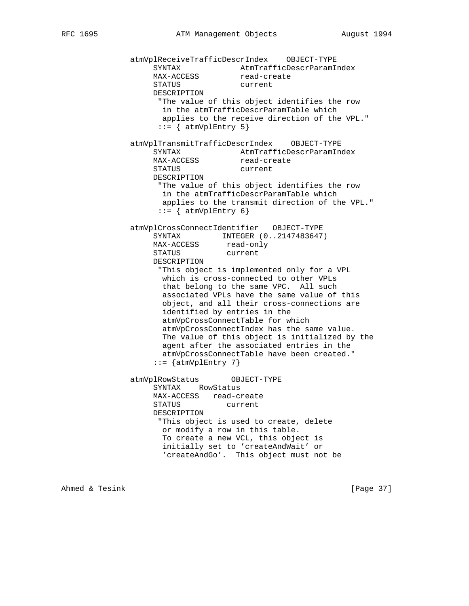atmVplReceiveTrafficDescrIndex OBJECT-TYPE SYNTAX AtmTrafficDescrParamIndex MAX-ACCESS read-create STATUS current DESCRIPTION "The value of this object identifies the row in the atmTrafficDescrParamTable which applies to the receive direction of the VPL."  $::=$  { atmVplEntry 5} atmVplTransmitTrafficDescrIndex OBJECT-TYPE SYNTAX AtmTrafficDescrParamIndex MAX-ACCESS read-create SYNTAA<br>MAX-ACCESS read-cre<br>STATUS current DESCRIPTION "The value of this object identifies the row in the atmTrafficDescrParamTable which applies to the transmit direction of the VPL."  $::=$  { atmVplEntry 6} atmVplCrossConnectIdentifier OBJECT-TYPE SYNTAX INTEGER (0..2147483647)<br>MAX-ACCESS read-only MAX-ACCESS read-only STATUS current DESCRIPTION "This object is implemented only for a VPL which is cross-connected to other VPLs that belong to the same VPC. All such associated VPLs have the same value of this object, and all their cross-connections are identified by entries in the atmVpCrossConnectTable for which atmVpCrossConnectIndex has the same value. The value of this object is initialized by the agent after the associated entries in the atmVpCrossConnectTable have been created."  $::=$  {atmVplEntry 7} atmVplRowStatus OBJECT-TYPE SYNTAX RowStatus MAX-ACCESS read-create<br>STATUS current STATUS DESCRIPTION "This object is used to create, delete or modify a row in this table. To create a new VCL, this object is initially set to 'createAndWait' or 'createAndGo'. This object must not be

Ahmed & Tesink [Page 37]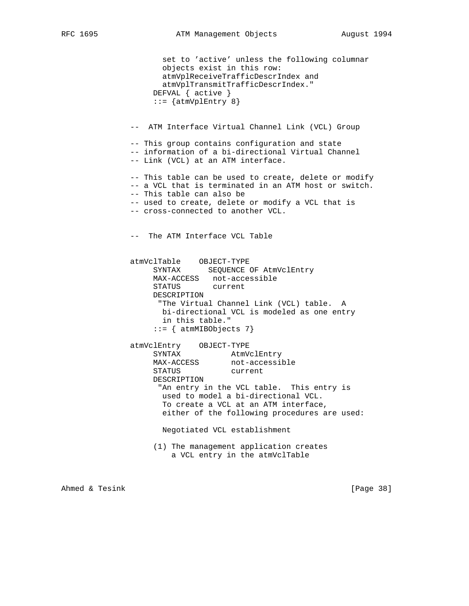```
 set to 'active' unless the following columnar
        objects exist in this row:
        atmVplReceiveTrafficDescrIndex and
        atmVplTransmitTrafficDescrIndex."
      DEFVAL { active }
     ::= {atmVplEntry 8}
 -- ATM Interface Virtual Channel Link (VCL) Group
 -- This group contains configuration and state
 -- information of a bi-directional Virtual Channel
 -- Link (VCL) at an ATM interface.
 -- This table can be used to create, delete or modify
 -- a VCL that is terminated in an ATM host or switch.
 -- This table can also be
 -- used to create, delete or modify a VCL that is
 -- cross-connected to another VCL.
 -- The ATM Interface VCL Table
 atmVclTable OBJECT-TYPE
      SYNTAX SEQUENCE OF AtmVclEntry
     MAX-ACCESS not-accessible
      STATUS current
     DESCRIPTION
       "The Virtual Channel Link (VCL) table. A
       bi-directional VCL is modeled as one entry
       in this table."
      ::= { atmMIBObjects 7}
atmVclEntry OBJECT-TYPE<br>SYNTAX AtmV
              AtmVclEntry<br>Shippinot-accessible
    MAX-ACCESS STATUS current
     DESCRIPTION
       "An entry in the VCL table. This entry is
       used to model a bi-directional VCL.
       To create a VCL at an ATM interface,
        either of the following procedures are used:
       Negotiated VCL establishment
```
 (1) The management application creates a VCL entry in the atmVclTable

Ahmed & Tesink [Page 38]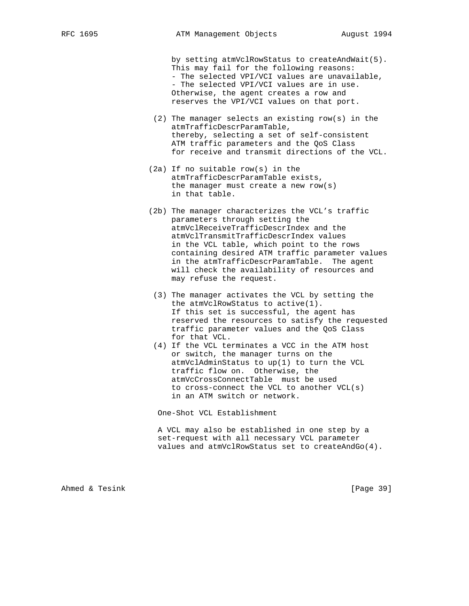by setting atmVclRowStatus to createAndWait(5). This may fail for the following reasons: - The selected VPI/VCI values are unavailable, - The selected VPI/VCI values are in use. Otherwise, the agent creates a row and reserves the VPI/VCI values on that port.

- (2) The manager selects an existing row(s) in the atmTrafficDescrParamTable, thereby, selecting a set of self-consistent ATM traffic parameters and the QoS Class for receive and transmit directions of the VCL.
- (2a) If no suitable row(s) in the atmTrafficDescrParamTable exists, the manager must create a new row(s) in that table.
- (2b) The manager characterizes the VCL's traffic parameters through setting the atmVclReceiveTrafficDescrIndex and the atmVclTransmitTrafficDescrIndex values in the VCL table, which point to the rows containing desired ATM traffic parameter values in the atmTrafficDescrParamTable. The agent will check the availability of resources and may refuse the request.
- (3) The manager activates the VCL by setting the the atmVclRowStatus to active(1). If this set is successful, the agent has reserved the resources to satisfy the requested traffic parameter values and the QoS Class for that VCL.
- (4) If the VCL terminates a VCC in the ATM host or switch, the manager turns on the atmVclAdminStatus to up(1) to turn the VCL traffic flow on. Otherwise, the atmVcCrossConnectTable must be used to cross-connect the VCL to another VCL(s) in an ATM switch or network.

One-Shot VCL Establishment

 A VCL may also be established in one step by a set-request with all necessary VCL parameter values and atmVclRowStatus set to createAndGo(4).

Ahmed & Tesink [Page 39]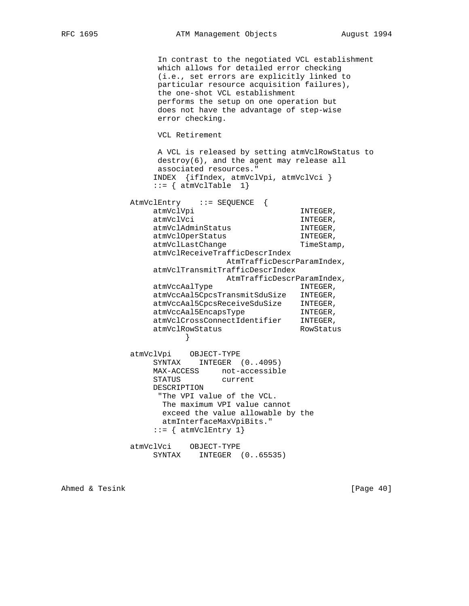In contrast to the negotiated VCL establishment which allows for detailed error checking (i.e., set errors are explicitly linked to particular resource acquisition failures), the one-shot VCL establishment performs the setup on one operation but does not have the advantage of step-wise error checking. VCL Retirement A VCL is released by setting atmVclRowStatus to destroy(6), and the agent may release all associated resources." INDEX {ifIndex, atmVclVpi, atmVclVci }  $::=$  { atmVclTable 1} AtmVclEntry ::= SEQUENCE { atmVclVpi INTEGER, atmVclVci INTEGER, atmVclAdminStatus INTEGER, atmVclOperStatus INTEGER, atmVclLastChange TimeStamp, atmVclReceiveTrafficDescrIndex AtmTrafficDescrParamIndex, atmVclTransmitTrafficDescrIndex AtmTrafficDescrParamIndex, atmVccAalType INTEGER, atmVccAal5CpcsTransmitSduSize INTEGER, atmVccAal5CpcsReceiveSduSize INTEGER,<br>atmVccAal5EncapsType INTEGER, atmVccAal5EncapsType **INTEGER**, atmVclCrossConnectIdentifier INTEGER, atmVclRowStatus RowStatus } atmVclVpi OBJECT-TYPE SYNTAX INTEGER (0..4095) MAX-ACCESS not-accessible STATUS current DESCRIPTION "The VPI value of the VCL. The maximum VPI value cannot exceed the value allowable by the atmInterfaceMaxVpiBits."  $::=$  { atmVclEntry 1} atmVclVci OBJECT-TYPE

SYNTAX INTEGER (0..65535)

Ahmed & Tesink [Page 40]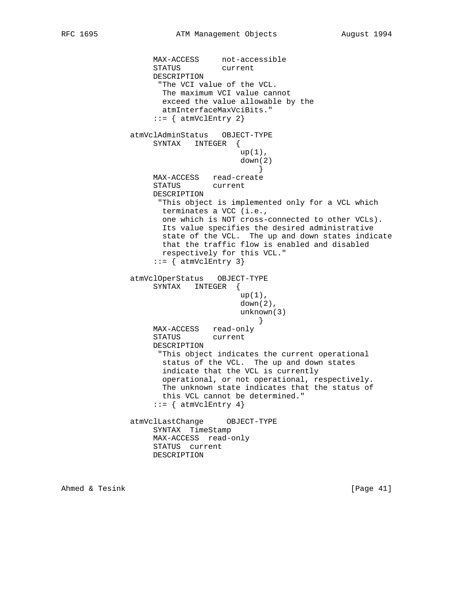```
MAX-ACCESS not-accessible<br>STATUS current
                  STATUS
                   DESCRIPTION
                    "The VCI value of the VCL.
                     The maximum VCI value cannot
                     exceed the value allowable by the
                     atmInterfaceMaxVciBits."
                  ::= { atmVclEntry 2}
               atmVclAdminStatus OBJECT-TYPE
                   SYNTAX INTEGER {
                                    up(1),
                                     down(2)
 }
                   MAX-ACCESS read-create
                   STATUS current
                   DESCRIPTION
                    "This object is implemented only for a VCL which
                     terminates a VCC (i.e.,
                     one which is NOT cross-connected to other VCLs).
                     Its value specifies the desired administrative
                     state of the VCL. The up and down states indicate
                     that the traffic flow is enabled and disabled
                     respectively for this VCL."
                   ::= { atmVclEntry 3}
               atmVclOperStatus OBJECT-TYPE
                   SYNTAX INTEGER {
                                    up(1),
                                    down(2),
                                     unknown(3)
 }
                   MAX-ACCESS read-only
                   STATUS current
                   DESCRIPTION
                    "This object indicates the current operational
                     status of the VCL. The up and down states
                     indicate that the VCL is currently
                     operational, or not operational, respectively.
                     The unknown state indicates that the status of
                     this VCL cannot be determined."
                  ::= { atmVclEntry 4}
               atmVclLastChange OBJECT-TYPE
                   SYNTAX TimeStamp
                   MAX-ACCESS read-only
                   STATUS current
                   DESCRIPTION
```
Ahmed & Tesink [Page 41]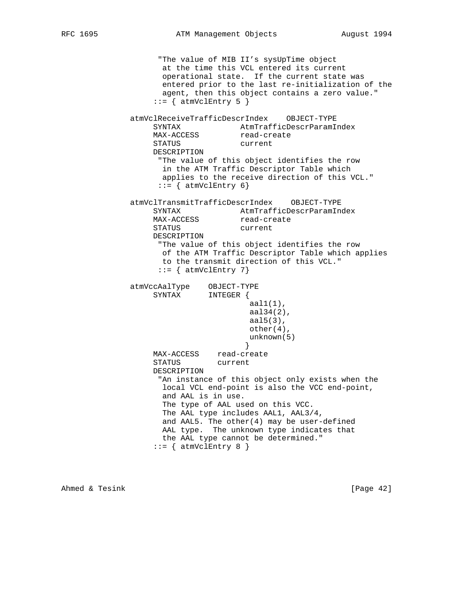"The value of MIB II's sysUpTime object at the time this VCL entered its current operational state. If the current state was entered prior to the last re-initialization of the agent, then this object contains a zero value."  $::=$  { atmVclEntry 5 } atmVclReceiveTrafficDescrIndex OBJECT-TYPE SYNTAX AtmTrafficDescrParamIndex MAX-ACCESS read-create STATUS current DESCRIPTION "The value of this object identifies the row in the ATM Traffic Descriptor Table which applies to the receive direction of this VCL."  $::=$  { atmVclEntry 6} atmVclTransmitTrafficDescrIndex OBJECT-TYPE SYNTAX **AtmTrafficDescrParamIndex** MAX-ACCESS read-create STATUS current DESCRIPTION "The value of this object identifies the row of the ATM Traffic Descriptor Table which applies to the transmit direction of this VCL."  $::=$  { atmVclEntry 7} atmVccAalType OBJECT-TYPE SYNTAX INTEGER {  $aall(1)$ , aal34(2), aal5(3), other(4), unknown(5) } MAX-ACCESS read-create STATUS current DESCRIPTION "An instance of this object only exists when the local VCL end-point is also the VCC end-point, and AAL is in use. The type of AAL used on this VCC. The AAL type includes AAL1, AAL3/4, and AAL5. The other(4) may be user-defined AAL type. The unknown type indicates that the AAL type cannot be determined."  $::=$  { atmVclEntry 8 }

Ahmed & Tesink [Page 42]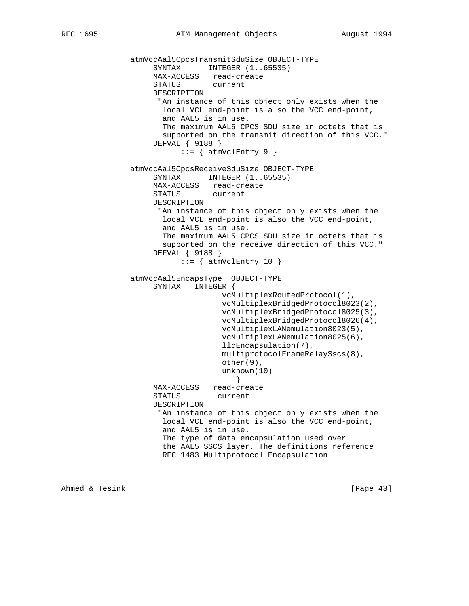```
 atmVccAal5CpcsTransmitSduSize OBJECT-TYPE
SYNTAX INTEGER (1..65535)
 MAX-ACCESS read-create
                    STATUS current
                   DESCRIPTION
                    "An instance of this object only exists when the
                     local VCL end-point is also the VCC end-point,
                     and AAL5 is in use.
                     The maximum AAL5 CPCS SDU size in octets that is
                     supported on the transmit direction of this VCC."
                   DEFVAL { 9188 }
                        ::= { atmVclEntry 9 }
               atmVccAal5CpcsReceiveSduSize OBJECT-TYPE
                   SYNTAX INTEGER (1..65535) MAX-ACCESS read-create
                   STATUS current
                   DESCRIPTION
                     "An instance of this object only exists when the
                     local VCL end-point is also the VCC end-point,
                     and AAL5 is in use.
                     The maximum AAL5 CPCS SDU size in octets that is
                     supported on the receive direction of this VCC."
                   DEFVAL { 9188 }
                        ::= { atmVclEntry 10 }
               atmVccAal5EncapsType OBJECT-TYPE
                    SYNTAX INTEGER {
                                  vcMultiplexRoutedProtocol(1),
                                  vcMultiplexBridgedProtocol8023(2),
                                  vcMultiplexBridgedProtocol8025(3),
                                  vcMultiplexBridgedProtocol8026(4),
                                  vcMultiplexLANemulation8023(5),
                                  vcMultiplexLANemulation8025(6),
                                  llcEncapsulation(7),
                                  multiprotocolFrameRelaySscs(8),
                                  other(9),
                                  unknown(10)
 }
                   MAX-ACCESS read-create
                    STATUS current
                   DESCRIPTION
                     "An instance of this object only exists when the
                     local VCL end-point is also the VCC end-point,
                     and AAL5 is in use.
                     The type of data encapsulation used over
                     the AAL5 SSCS layer. The definitions reference
                     RFC 1483 Multiprotocol Encapsulation
```
Ahmed & Tesink [Page 43]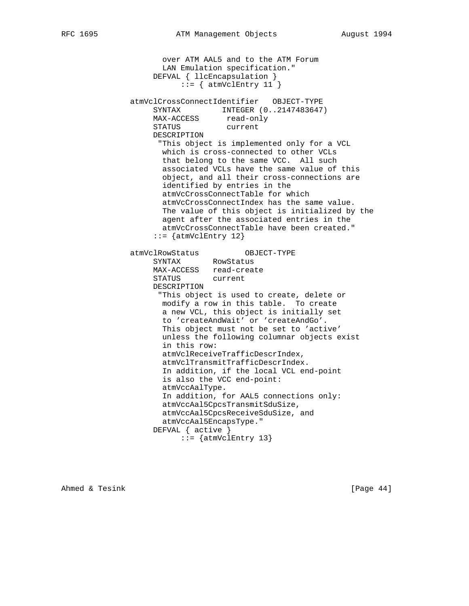over ATM AAL5 and to the ATM Forum LAN Emulation specification." DEFVAL { llcEncapsulation }  $::=$  { atmVclEntry 11 } atmVclCrossConnectIdentifier OBJECT-TYPE SYNTAX INTEGER (0..2147483647) MAX-ACCESS read-only STATUS current DESCRIPTION "This object is implemented only for a VCL which is cross-connected to other VCLs that belong to the same VCC. All such associated VCLs have the same value of this object, and all their cross-connections are identified by entries in the atmVcCrossConnectTable for which atmVcCrossConnectIndex has the same value. The value of this object is initialized by the agent after the associated entries in the atmVcCrossConnectTable have been created."  $::=$  {atmVclEntry 12} atmVclRowStatus OBJECT-TYPE SYNTAX RowStatus MAX-ACCESS read-create STATUS current DESCRIPTION "This object is used to create, delete or modify a row in this table. To create a new VCL, this object is initially set to 'createAndWait' or 'createAndGo'. This object must not be set to 'active' unless the following columnar objects exist in this row: atmVclReceiveTrafficDescrIndex, atmVclTransmitTrafficDescrIndex. In addition, if the local VCL end-point is also the VCC end-point: atmVccAalType. In addition, for AAL5 connections only: atmVccAal5CpcsTransmitSduSize, atmVccAal5CpcsReceiveSduSize, and atmVccAal5EncapsType." DEFVAL { active } ::= {atmVclEntry 13}

Ahmed & Tesink [Page 44]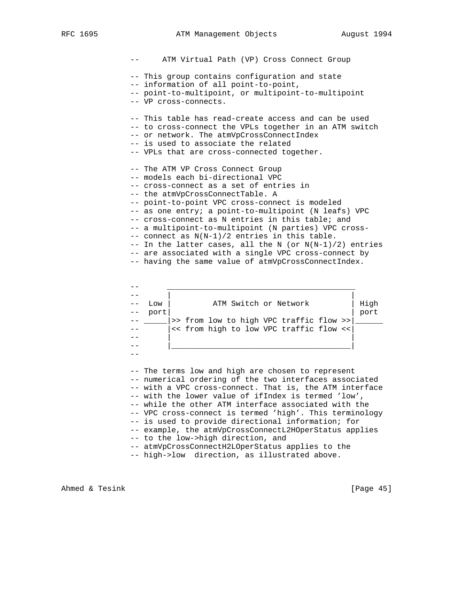RFC 1695 ATM Management Objects August 1994

 -- ATM Virtual Path (VP) Cross Connect Group -- This group contains configuration and state -- information of all point-to-point, -- point-to-multipoint, or multipoint-to-multipoint -- VP cross-connects. -- This table has read-create access and can be used -- to cross-connect the VPLs together in an ATM switch -- or network. The atmVpCrossConnectIndex -- is used to associate the related -- VPLs that are cross-connected together. -- The ATM VP Cross Connect Group -- models each bi-directional VPC -- cross-connect as a set of entries in -- the atmVpCrossConnectTable. A -- point-to-point VPC cross-connect is modeled -- as one entry; a point-to-multipoint (N leafs) VPC -- cross-connect as N entries in this table; and -- a multipoint-to-multipoint (N parties) VPC cross- -- connect as N(N-1)/2 entries in this table. -- In the latter cases, all the N (or  $N(N-1)/2$ ) entries -- are associated with a single VPC cross-connect by -- having the same value of atmVpCrossConnectIndex.



 -- The terms low and high are chosen to represent -- numerical ordering of the two interfaces associated -- with a VPC cross-connect. That is, the ATM interface -- with the lower value of ifIndex is termed 'low', -- while the other ATM interface associated with the -- VPC cross-connect is termed 'high'. This terminology -- is used to provide directional information; for -- example, the atmVpCrossConnectL2HOperStatus applies -- to the low->high direction, and -- atmVpCrossConnectH2LOperStatus applies to the

-- high->low direction, as illustrated above.

Ahmed & Tesink [Page 45]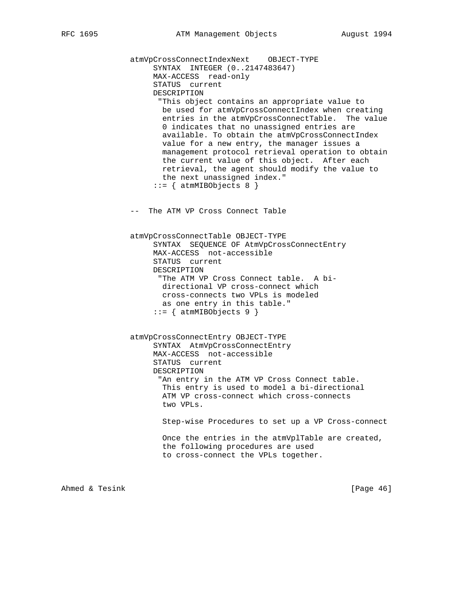atmVpCrossConnectIndexNext OBJECT-TYPE SYNTAX INTEGER (0..2147483647) MAX-ACCESS read-only STATUS current DESCRIPTION "This object contains an appropriate value to be used for atmVpCrossConnectIndex when creating entries in the atmVpCrossConnectTable. The value 0 indicates that no unassigned entries are available. To obtain the atmVpCrossConnectIndex value for a new entry, the manager issues a management protocol retrieval operation to obtain the current value of this object. After each retrieval, the agent should modify the value to the next unassigned index."  $::= \{$  atmMIBObjects 8  $\}$  -- The ATM VP Cross Connect Table atmVpCrossConnectTable OBJECT-TYPE SYNTAX SEQUENCE OF AtmVpCrossConnectEntry MAX-ACCESS not-accessible STATUS current DESCRIPTION "The ATM VP Cross Connect table. A bi directional VP cross-connect which cross-connects two VPLs is modeled as one entry in this table."  $::=$  { atmMIBObjects 9 } atmVpCrossConnectEntry OBJECT-TYPE SYNTAX AtmVpCrossConnectEntry MAX-ACCESS not-accessible STATUS current DESCRIPTION "An entry in the ATM VP Cross Connect table. This entry is used to model a bi-directional ATM VP cross-connect which cross-connects two VPLs. Step-wise Procedures to set up a VP Cross-connect Once the entries in the atmVplTable are created, the following procedures are used to cross-connect the VPLs together.

Ahmed & Tesink [Page 46]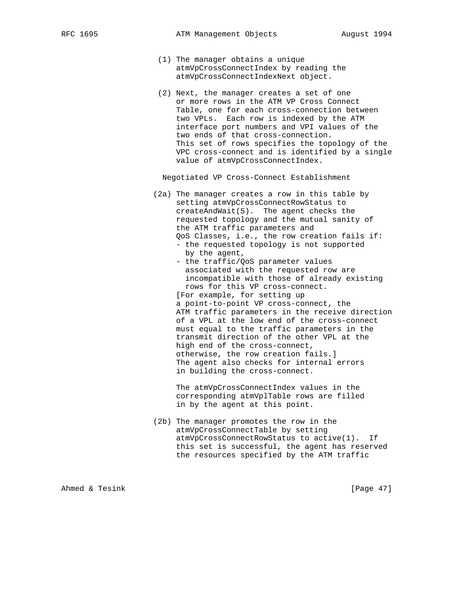- (1) The manager obtains a unique atmVpCrossConnectIndex by reading the atmVpCrossConnectIndexNext object.
- (2) Next, the manager creates a set of one or more rows in the ATM VP Cross Connect Table, one for each cross-connection between two VPLs. Each row is indexed by the ATM interface port numbers and VPI values of the two ends of that cross-connection. This set of rows specifies the topology of the VPC cross-connect and is identified by a single value of atmVpCrossConnectIndex.

Negotiated VP Cross-Connect Establishment

- (2a) The manager creates a row in this table by setting atmVpCrossConnectRowStatus to createAndWait(5). The agent checks the requested topology and the mutual sanity of the ATM traffic parameters and QoS Classes, i.e., the row creation fails if: - the requested topology is not supported by the agent,
	- the traffic/QoS parameter values associated with the requested row are incompatible with those of already existing rows for this VP cross-connect.

 [For example, for setting up a point-to-point VP cross-connect, the ATM traffic parameters in the receive direction of a VPL at the low end of the cross-connect must equal to the traffic parameters in the transmit direction of the other VPL at the high end of the cross-connect, otherwise, the row creation fails.] The agent also checks for internal errors in building the cross-connect.

 The atmVpCrossConnectIndex values in the corresponding atmVplTable rows are filled in by the agent at this point.

 (2b) The manager promotes the row in the atmVpCrossConnectTable by setting atmVpCrossConnectRowStatus to active(1). If this set is successful, the agent has reserved the resources specified by the ATM traffic

Ahmed & Tesink [Page 47]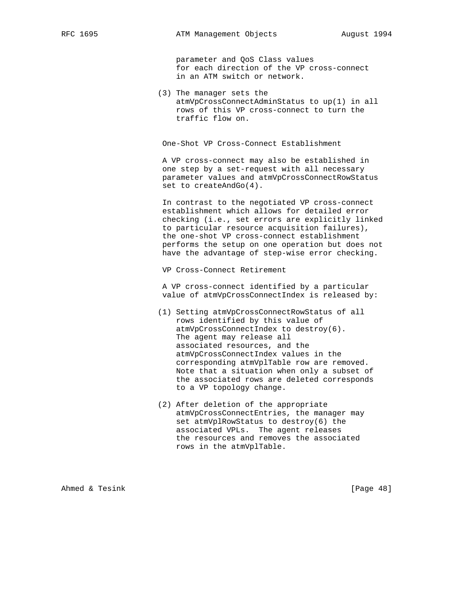parameter and QoS Class values for each direction of the VP cross-connect in an ATM switch or network.

 (3) The manager sets the atmVpCrossConnectAdminStatus to up(1) in all rows of this VP cross-connect to turn the traffic flow on.

One-Shot VP Cross-Connect Establishment

 A VP cross-connect may also be established in one step by a set-request with all necessary parameter values and atmVpCrossConnectRowStatus set to createAndGo(4).

 In contrast to the negotiated VP cross-connect establishment which allows for detailed error checking (i.e., set errors are explicitly linked to particular resource acquisition failures), the one-shot VP cross-connect establishment performs the setup on one operation but does not have the advantage of step-wise error checking.

VP Cross-Connect Retirement

 A VP cross-connect identified by a particular value of atmVpCrossConnectIndex is released by:

- (1) Setting atmVpCrossConnectRowStatus of all rows identified by this value of atmVpCrossConnectIndex to destroy(6). The agent may release all associated resources, and the atmVpCrossConnectIndex values in the corresponding atmVplTable row are removed. Note that a situation when only a subset of the associated rows are deleted corresponds to a VP topology change.
- (2) After deletion of the appropriate atmVpCrossConnectEntries, the manager may set atmVplRowStatus to destroy(6) the associated VPLs. The agent releases the resources and removes the associated rows in the atmVplTable.

Ahmed & Tesink [Page 48]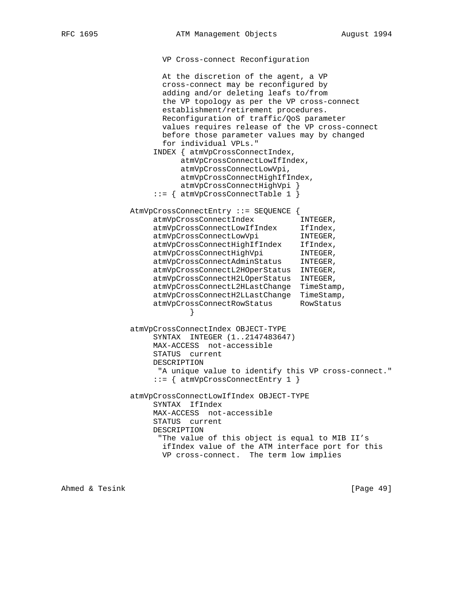```
 VP Cross-connect Reconfiguration
```
 At the discretion of the agent, a VP cross-connect may be reconfigured by adding and/or deleting leafs to/from the VP topology as per the VP cross-connect establishment/retirement procedures. Reconfiguration of traffic/QoS parameter values requires release of the VP cross-connect before those parameter values may by changed for individual VPLs." INDEX { atmVpCrossConnectIndex, atmVpCrossConnectLowIfIndex, atmVpCrossConnectLowVpi, atmVpCrossConnectHighIfIndex, atmVpCrossConnectHighVpi } ::= { atmVpCrossConnectTable 1 } AtmVpCrossConnectEntry ::= SEQUENCE { atmVpCrossConnectIndex INTEGER, atmVpCrossConnectLowIfIndex IfIndex, atmVpCrossConnectLowVpi INTEGER, atmVpCrossConnectHighIfIndex IfIndex, atmVpCrossConnectHighVpi INTEGER, atmVpCrossConnectAdminStatus INTEGER, atmVpCrossConnectL2HOperStatus INTEGER, atmVpCrossConnectH2LOperStatus INTEGER, atmVpCrossConnectL2HLastChange TimeStamp, atmVpCrossConnectH2LLastChange TimeStamp, atmVpCrossConnectRowStatus RowStatus } atmVpCrossConnectIndex OBJECT-TYPE SYNTAX INTEGER (1..2147483647) MAX-ACCESS not-accessible STATUS current DESCRIPTION "A unique value to identify this VP cross-connect." ::= { atmVpCrossConnectEntry 1 } atmVpCrossConnectLowIfIndex OBJECT-TYPE SYNTAX IfIndex MAX-ACCESS not-accessible STATUS current DESCRIPTION "The value of this object is equal to MIB II's ifIndex value of the ATM interface port for this VP cross-connect. The term low implies

Ahmed & Tesink [Page 49]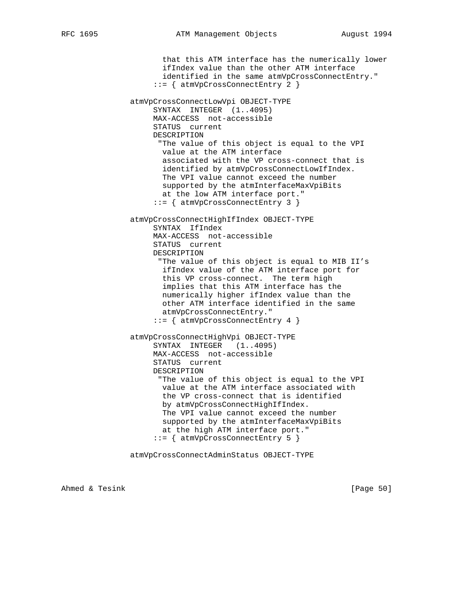that this ATM interface has the numerically lower ifIndex value than the other ATM interface identified in the same atmVpCrossConnectEntry." ::= { atmVpCrossConnectEntry 2 } atmVpCrossConnectLowVpi OBJECT-TYPE SYNTAX INTEGER (1..4095) MAX-ACCESS not-accessible STATUS current DESCRIPTION "The value of this object is equal to the VPI value at the ATM interface associated with the VP cross-connect that is identified by atmVpCrossConnectLowIfIndex. The VPI value cannot exceed the number supported by the atmInterfaceMaxVpiBits at the low ATM interface port." ::= { atmVpCrossConnectEntry 3 } atmVpCrossConnectHighIfIndex OBJECT-TYPE SYNTAX IfIndex MAX-ACCESS not-accessible STATUS current DESCRIPTION "The value of this object is equal to MIB II's ifIndex value of the ATM interface port for this VP cross-connect. The term high implies that this ATM interface has the numerically higher ifIndex value than the other ATM interface identified in the same atmVpCrossConnectEntry." ::= { atmVpCrossConnectEntry 4 } atmVpCrossConnectHighVpi OBJECT-TYPE SYNTAX INTEGER (1..4095) MAX-ACCESS not-accessible STATUS current DESCRIPTION "The value of this object is equal to the VPI value at the ATM interface associated with the VP cross-connect that is identified by atmVpCrossConnectHighIfIndex. The VPI value cannot exceed the number supported by the atmInterfaceMaxVpiBits at the high ATM interface port." ::= { atmVpCrossConnectEntry 5 }

atmVpCrossConnectAdminStatus OBJECT-TYPE

Ahmed & Tesink [Page 50]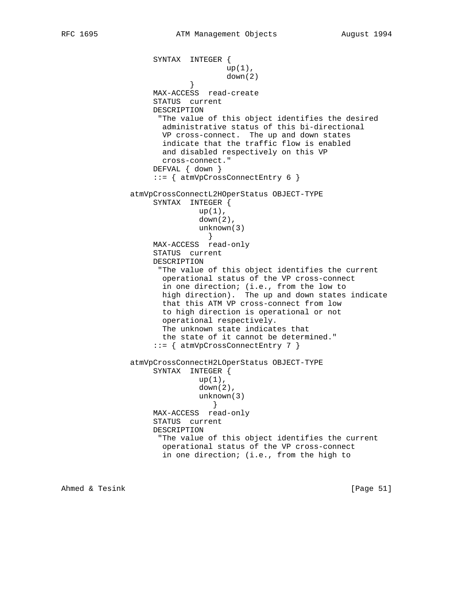```
 SYNTAX INTEGER {
                                  up(1),
                           down(2)
 }
                   MAX-ACCESS read-create
                    STATUS current
                   DESCRIPTION
                    "The value of this object identifies the desired
                     administrative status of this bi-directional
                     VP cross-connect. The up and down states
                     indicate that the traffic flow is enabled
                     and disabled respectively on this VP
                     cross-connect."
                   DEFVAL { down }
                    ::= { atmVpCrossConnectEntry 6 }
               atmVpCrossConnectL2HOperStatus OBJECT-TYPE
                   SYNTAX INTEGER {
                            up(1),
                            down(2),
                             unknown(3)
 }
                   MAX-ACCESS read-only
                   STATUS current
                   DESCRIPTION
                     "The value of this object identifies the current
                     operational status of the VP cross-connect
                     in one direction; (i.e., from the low to
                     high direction). The up and down states indicate
                     that this ATM VP cross-connect from low
                     to high direction is operational or not
                     operational respectively.
                     The unknown state indicates that
                     the state of it cannot be determined."
                    ::= { atmVpCrossConnectEntry 7 }
               atmVpCrossConnectH2LOperStatus OBJECT-TYPE
                   SYNTAX INTEGER {
                            up(1),
                             down(2),
                             unknown(3)
 }
                   MAX-ACCESS read-only
                   STATUS current
                   DESCRIPTION
                     "The value of this object identifies the current
                     operational status of the VP cross-connect
                     in one direction; (i.e., from the high to
```
Ahmed & Tesink [Page 51]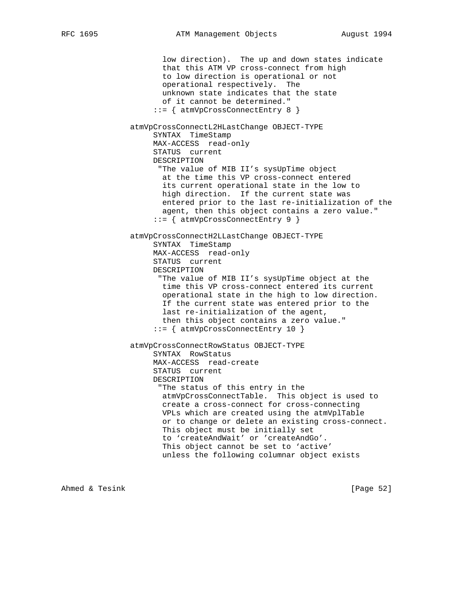low direction). The up and down states indicate that this ATM VP cross-connect from high to low direction is operational or not operational respectively. The unknown state indicates that the state of it cannot be determined." ::= { atmVpCrossConnectEntry 8 } atmVpCrossConnectL2HLastChange OBJECT-TYPE SYNTAX TimeStamp MAX-ACCESS read-only STATUS current DESCRIPTION "The value of MIB II's sysUpTime object at the time this VP cross-connect entered its current operational state in the low to high direction. If the current state was entered prior to the last re-initialization of the agent, then this object contains a zero value." ::= { atmVpCrossConnectEntry 9 } atmVpCrossConnectH2LLastChange OBJECT-TYPE SYNTAX TimeStamp MAX-ACCESS read-only STATUS current DESCRIPTION "The value of MIB II's sysUpTime object at the time this VP cross-connect entered its current operational state in the high to low direction. If the current state was entered prior to the last re-initialization of the agent, then this object contains a zero value." ::= { atmVpCrossConnectEntry 10 } atmVpCrossConnectRowStatus OBJECT-TYPE SYNTAX RowStatus MAX-ACCESS read-create STATUS current DESCRIPTION "The status of this entry in the atmVpCrossConnectTable. This object is used to create a cross-connect for cross-connecting VPLs which are created using the atmVplTable or to change or delete an existing cross-connect. This object must be initially set to 'createAndWait' or 'createAndGo'. This object cannot be set to 'active' unless the following columnar object exists

Ahmed & Tesink [Page 52]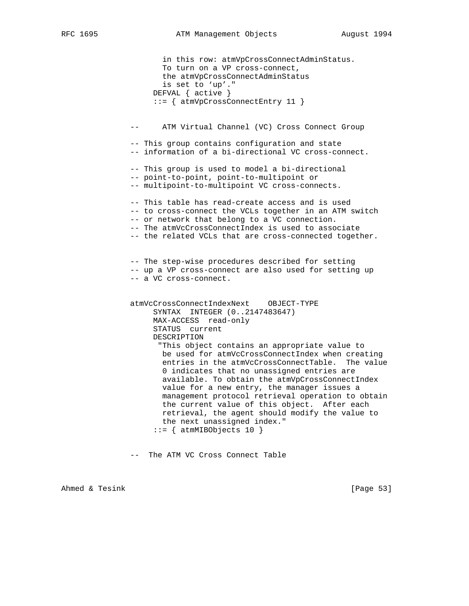```
 in this row: atmVpCrossConnectAdminStatus.
        To turn on a VP cross-connect,
        the atmVpCrossConnectAdminStatus
        is set to 'up'."
      DEFVAL { active }
      ::= { atmVpCrossConnectEntry 11 }
 -- ATM Virtual Channel (VC) Cross Connect Group
 -- This group contains configuration and state
 -- information of a bi-directional VC cross-connect.
 -- This group is used to model a bi-directional
 -- point-to-point, point-to-multipoint or
 -- multipoint-to-multipoint VC cross-connects.
 -- This table has read-create access and is used
 -- to cross-connect the VCLs together in an ATM switch
 -- or network that belong to a VC connection.
 -- The atmVcCrossConnectIndex is used to associate
 -- the related VCLs that are cross-connected together.
 -- The step-wise procedures described for setting
 -- up a VP cross-connect are also used for setting up
 -- a VC cross-connect.
 atmVcCrossConnectIndexNext OBJECT-TYPE
     SYNTAX INTEGER (0..2147483647)
     MAX-ACCESS read-only
     STATUS current
     DESCRIPTION
       "This object contains an appropriate value to
       be used for atmVcCrossConnectIndex when creating
        entries in the atmVcCrossConnectTable. The value
        0 indicates that no unassigned entries are
        available. To obtain the atmVpCrossConnectIndex
        value for a new entry, the manager issues a
       management protocol retrieval operation to obtain
       the current value of this object. After each
       retrieval, the agent should modify the value to
       the next unassigned index."
     ::= { atmMIBObjects 10 }
```
-- The ATM VC Cross Connect Table

Ahmed & Tesink [Page 53]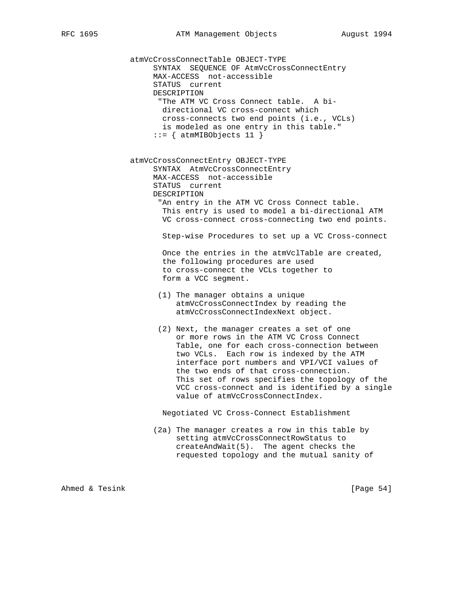atmVcCrossConnectTable OBJECT-TYPE SYNTAX SEQUENCE OF AtmVcCrossConnectEntry MAX-ACCESS not-accessible STATUS current DESCRIPTION "The ATM VC Cross Connect table. A bi directional VC cross-connect which cross-connects two end points (i.e., VCLs) is modeled as one entry in this table."  $::=$  { atmMIBObjects 11 } atmVcCrossConnectEntry OBJECT-TYPE SYNTAX AtmVcCrossConnectEntry MAX-ACCESS not-accessible STATUS current DESCRIPTION "An entry in the ATM VC Cross Connect table. This entry is used to model a bi-directional ATM VC cross-connect cross-connecting two end points. Step-wise Procedures to set up a VC Cross-connect Once the entries in the atmVclTable are created, the following procedures are used to cross-connect the VCLs together to form a VCC segment. (1) The manager obtains a unique atmVcCrossConnectIndex by reading the atmVcCrossConnectIndexNext object. (2) Next, the manager creates a set of one or more rows in the ATM VC Cross Connect Table, one for each cross-connection between two VCLs. Each row is indexed by the ATM interface port numbers and VPI/VCI values of the two ends of that cross-connection. This set of rows specifies the topology of the VCC cross-connect and is identified by a single value of atmVcCrossConnectIndex. Negotiated VC Cross-Connect Establishment (2a) The manager creates a row in this table by setting atmVcCrossConnectRowStatus to createAndWait(5). The agent checks the requested topology and the mutual sanity of

Ahmed & Tesink [Page 54]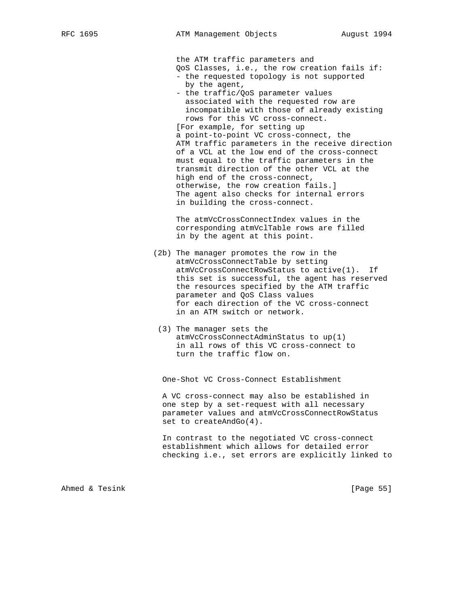the ATM traffic parameters and QoS Classes, i.e., the row creation fails if: - the requested topology is not supported by the agent, - the traffic/QoS parameter values associated with the requested row are incompatible with those of already existing rows for this VC cross-connect. [For example, for setting up a point-to-point VC cross-connect, the ATM traffic parameters in the receive direction of a VCL at the low end of the cross-connect must equal to the traffic parameters in the transmit direction of the other VCL at the high end of the cross-connect, otherwise, the row creation fails.] The agent also checks for internal errors in building the cross-connect. The atmVcCrossConnectIndex values in the corresponding atmVclTable rows are filled in by the agent at this point. (2b) The manager promotes the row in the atmVcCrossConnectTable by setting atmVcCrossConnectRowStatus to active(1). If this set is successful, the agent has reserved the resources specified by the ATM traffic parameter and QoS Class values for each direction of the VC cross-connect in an ATM switch or network. (3) The manager sets the

 atmVcCrossConnectAdminStatus to up(1) in all rows of this VC cross-connect to turn the traffic flow on.

One-Shot VC Cross-Connect Establishment

 A VC cross-connect may also be established in one step by a set-request with all necessary parameter values and atmVcCrossConnectRowStatus set to createAndGo(4).

 In contrast to the negotiated VC cross-connect establishment which allows for detailed error checking i.e., set errors are explicitly linked to

Ahmed & Tesink [Page 55]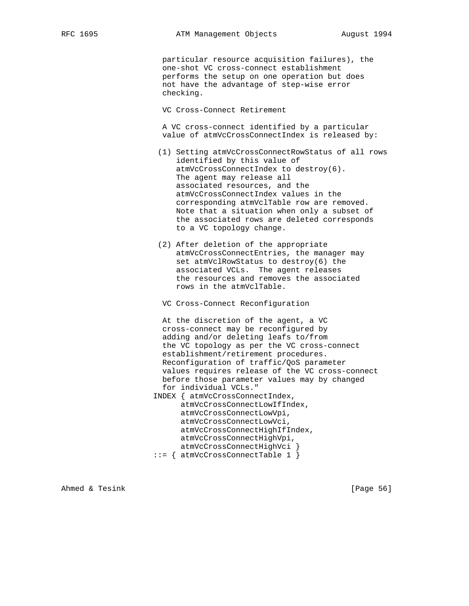particular resource acquisition failures), the one-shot VC cross-connect establishment performs the setup on one operation but does not have the advantage of step-wise error checking.

VC Cross-Connect Retirement

 A VC cross-connect identified by a particular value of atmVcCrossConnectIndex is released by:

- (1) Setting atmVcCrossConnectRowStatus of all rows identified by this value of atmVcCrossConnectIndex to destroy(6). The agent may release all associated resources, and the atmVcCrossConnectIndex values in the corresponding atmVclTable row are removed. Note that a situation when only a subset of the associated rows are deleted corresponds to a VC topology change.
- (2) After deletion of the appropriate atmVcCrossConnectEntries, the manager may set atmVclRowStatus to destroy(6) the associated VCLs. The agent releases the resources and removes the associated rows in the atmVclTable.

VC Cross-Connect Reconfiguration

 At the discretion of the agent, a VC cross-connect may be reconfigured by adding and/or deleting leafs to/from the VC topology as per the VC cross-connect establishment/retirement procedures. Reconfiguration of traffic/QoS parameter values requires release of the VC cross-connect before those parameter values may by changed for individual VCLs."

 INDEX { atmVcCrossConnectIndex, atmVcCrossConnectLowIfIndex, atmVcCrossConnectLowVpi, atmVcCrossConnectLowVci, atmVcCrossConnectHighIfIndex, atmVcCrossConnectHighVpi, atmVcCrossConnectHighVci }

::= { atmVcCrossConnectTable 1 }

Ahmed & Tesink [Page 56]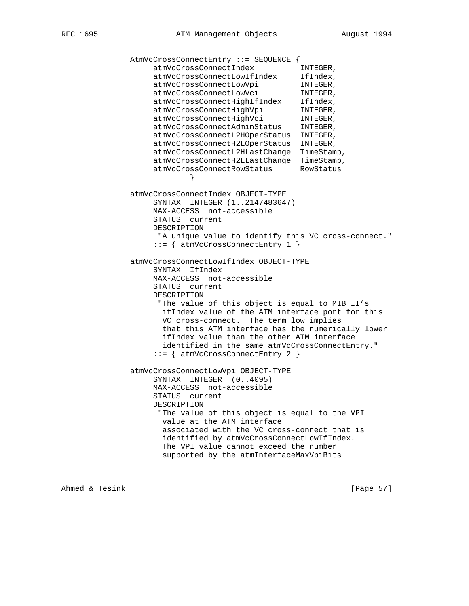```
 AtmVcCrossConnectEntry ::= SEQUENCE {
 atmVcCrossConnectIndex INTEGER,
 atmVcCrossConnectLowIfIndex IfIndex,
atmVcCrossConnectLowVpi INTEGER,
atmVcCrossConnectLowVci INTEGER,
 atmVcCrossConnectHighIfIndex IfIndex,
atmVcCrossConnectHighVpi INTEGER,
atmVcCrossConnectHighVci INTEGER,
 atmVcCrossConnectAdminStatus INTEGER,
                  atmVcCrossConnectL2HOperStatus INTEGER,
                  atmVcCrossConnectH2LOperStatus INTEGER,
                  atmVcCrossConnectL2HLastChange TimeStamp,
 atmVcCrossConnectH2LLastChange TimeStamp,
 atmVcCrossConnectRowStatus RowStatus
 }
             atmVcCrossConnectIndex OBJECT-TYPE
                  SYNTAX INTEGER (1..2147483647)
                  MAX-ACCESS not-accessible
                  STATUS current
                  DESCRIPTION
                  "A unique value to identify this VC cross-connect."
                  ::= { atmVcCrossConnectEntry 1 }
             atmVcCrossConnectLowIfIndex OBJECT-TYPE
                  SYNTAX IfIndex
                  MAX-ACCESS not-accessible
                  STATUS current
                  DESCRIPTION
                   "The value of this object is equal to MIB II's
                   ifIndex value of the ATM interface port for this
                   VC cross-connect. The term low implies
                   that this ATM interface has the numerically lower
                   ifIndex value than the other ATM interface
                   identified in the same atmVcCrossConnectEntry."
                  ::= { atmVcCrossConnectEntry 2 }
             atmVcCrossConnectLowVpi OBJECT-TYPE
                  SYNTAX INTEGER (0..4095)
                  MAX-ACCESS not-accessible
                  STATUS current
                  DESCRIPTION
                   "The value of this object is equal to the VPI
                   value at the ATM interface
                   associated with the VC cross-connect that is
                   identified by atmVcCrossConnectLowIfIndex.
                   The VPI value cannot exceed the number
                   supported by the atmInterfaceMaxVpiBits
```
Ahmed & Tesink [Page 57]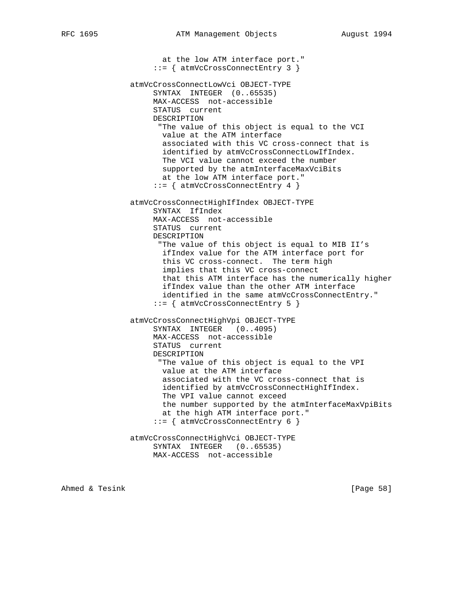at the low ATM interface port." ::= { atmVcCrossConnectEntry 3 } atmVcCrossConnectLowVci OBJECT-TYPE SYNTAX INTEGER (0..65535) MAX-ACCESS not-accessible STATUS current DESCRIPTION "The value of this object is equal to the VCI value at the ATM interface associated with this VC cross-connect that is identified by atmVcCrossConnectLowIfIndex. The VCI value cannot exceed the number supported by the atmInterfaceMaxVciBits at the low ATM interface port." ::= { atmVcCrossConnectEntry 4 } atmVcCrossConnectHighIfIndex OBJECT-TYPE SYNTAX IfIndex MAX-ACCESS not-accessible STATUS current DESCRIPTION "The value of this object is equal to MIB II's ifIndex value for the ATM interface port for this VC cross-connect. The term high implies that this VC cross-connect that this ATM interface has the numerically higher ifIndex value than the other ATM interface identified in the same atmVcCrossConnectEntry." ::= { atmVcCrossConnectEntry 5 } atmVcCrossConnectHighVpi OBJECT-TYPE SYNTAX INTEGER (0..4095) MAX-ACCESS not-accessible STATUS current DESCRIPTION "The value of this object is equal to the VPI value at the ATM interface associated with the VC cross-connect that is identified by atmVcCrossConnectHighIfIndex. The VPI value cannot exceed the number supported by the atmInterfaceMaxVpiBits at the high ATM interface port."  $::=$  { atmVcCrossConnectEntry 6 } atmVcCrossConnectHighVci OBJECT-TYPE SYNTAX INTEGER (0..65535) MAX-ACCESS not-accessible

Ahmed & Tesink [Page 58]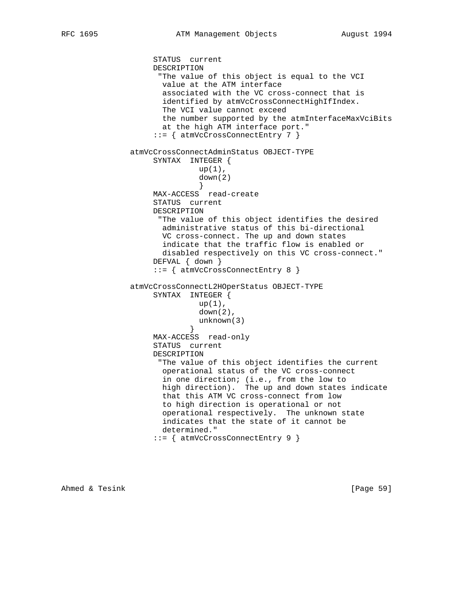STATUS current DESCRIPTION "The value of this object is equal to the VCI value at the ATM interface associated with the VC cross-connect that is identified by atmVcCrossConnectHighIfIndex. The VCI value cannot exceed the number supported by the atmInterfaceMaxVciBits at the high ATM interface port." ::= { atmVcCrossConnectEntry 7 } atmVcCrossConnectAdminStatus OBJECT-TYPE SYNTAX INTEGER { up(1), down(2) } MAX-ACCESS read-create STATUS current DESCRIPTION "The value of this object identifies the desired administrative status of this bi-directional VC cross-connect. The up and down states indicate that the traffic flow is enabled or disabled respectively on this VC cross-connect." DEFVAL { down } ::= { atmVcCrossConnectEntry 8 } atmVcCrossConnectL2HOperStatus OBJECT-TYPE SYNTAX INTEGER {  $up(1)$ , down(2), unknown(3)<br>} } MAX-ACCESS read-only STATUS current DESCRIPTION "The value of this object identifies the current operational status of the VC cross-connect in one direction; (i.e., from the low to high direction). The up and down states indicate that this ATM VC cross-connect from low to high direction is operational or not operational respectively. The unknown state indicates that the state of it cannot be determined." ::= { atmVcCrossConnectEntry 9 }

Ahmed & Tesink [Page 59]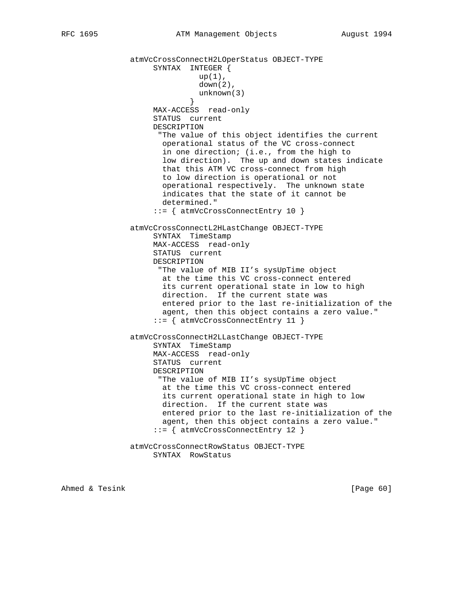```
 atmVcCrossConnectH2LOperStatus OBJECT-TYPE
                    SYNTAX INTEGER {
                             up(1),
                               down(2),
                            unknown(3)<br>}
 }
                    MAX-ACCESS read-only
                     STATUS current
                    DESCRIPTION
                      "The value of this object identifies the current
                      operational status of the VC cross-connect
                       in one direction; (i.e., from the high to
                       low direction). The up and down states indicate
                       that this ATM VC cross-connect from high
                       to low direction is operational or not
                       operational respectively. The unknown state
                       indicates that the state of it cannot be
                      determined."
                     ::= { atmVcCrossConnectEntry 10 }
                atmVcCrossConnectL2HLastChange OBJECT-TYPE
                     SYNTAX TimeStamp
                    MAX-ACCESS read-only
                    STATUS current
                    DESCRIPTION
                      "The value of MIB II's sysUpTime object
                      at the time this VC cross-connect entered
                       its current operational state in low to high
                      direction. If the current state was
                      entered prior to the last re-initialization of the
                      agent, then this object contains a zero value."
                     ::= { atmVcCrossConnectEntry 11 }
                atmVcCrossConnectH2LLastChange OBJECT-TYPE
                    SYNTAX TimeStamp
                    MAX-ACCESS read-only
                    STATUS current
                    DESCRIPTION
                      "The value of MIB II's sysUpTime object
                      at the time this VC cross-connect entered
                       its current operational state in high to low
                      direction. If the current state was
                      entered prior to the last re-initialization of the
                       agent, then this object contains a zero value."
                     ::= { atmVcCrossConnectEntry 12 }
                atmVcCrossConnectRowStatus OBJECT-TYPE
                    SYNTAX RowStatus
```
Ahmed & Tesink [Page 60]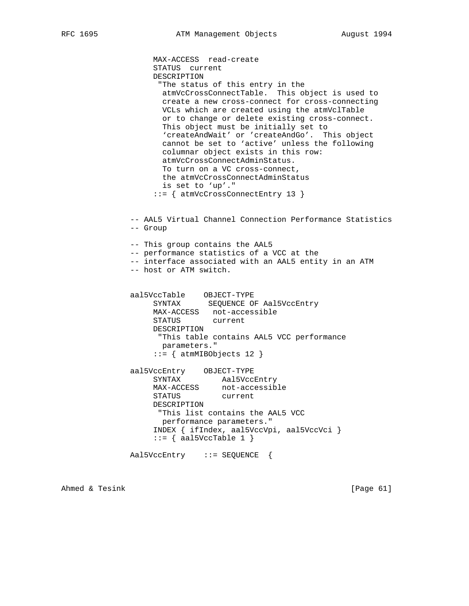MAX-ACCESS read-create STATUS current DESCRIPTION "The status of this entry in the atmVcCrossConnectTable. This object is used to create a new cross-connect for cross-connecting VCLs which are created using the atmVclTable or to change or delete existing cross-connect. This object must be initially set to 'createAndWait' or 'createAndGo'. This object cannot be set to 'active' unless the following columnar object exists in this row: atmVcCrossConnectAdminStatus. To turn on a VC cross-connect, the atmVcCrossConnectAdminStatus is set to 'up'." ::= { atmVcCrossConnectEntry 13 } -- AAL5 Virtual Channel Connection Performance Statistics -- Group -- This group contains the AAL5 -- performance statistics of a VCC at the -- interface associated with an AAL5 entity in an ATM -- host or ATM switch. aal5VccTable OBJECT-TYPE SYNTAX SEQUENCE OF Aal5VccEntry MAX-ACCESS not-accessible STATUS current DESCRIPTION "This table contains AAL5 VCC performance parameters."  $::=$  { atmMIBObjects 12 } aal5VccEntry OBJECT-TYPE SYNTAX Aal5VccEntry MAX-ACCESS not-accessible STATUS current DESCRIPTION "This list contains the AAL5 VCC performance parameters." INDEX { ifIndex, aal5VccVpi, aal5VccVci }  $::=$  { aal5VccTable 1 } Aal5VccEntry ::= SEQUENCE {

Ahmed & Tesink [Page 61]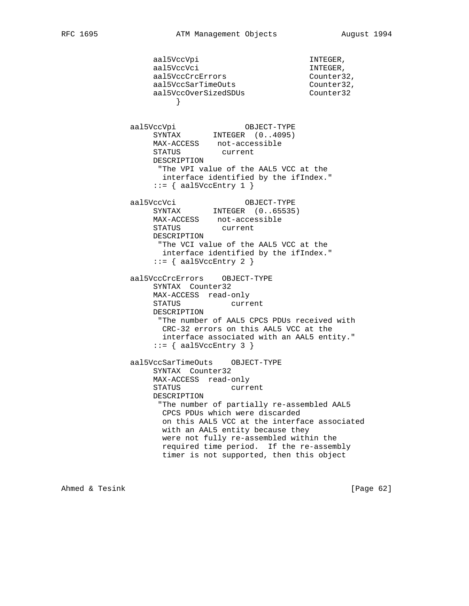aal5VccVpi 1NTEGER, aal5VccVci aansaan van die kommen van die kommen van die kommen van die kommen van die kommen van die kommens aal5VccCrcErrors Counter32, aal5VccSarTimeOuts Counter32, aal5VccOverSizedSDUs Counter32 } aal5VccVpi OBJECT-TYPE SYNTAX INTEGER (0..4095) MAX-ACCESS not-accessible STATUS current DESCRIPTION "The VPI value of the AAL5 VCC at the interface identified by the ifIndex."  $::=$  { aal5VccEntry 1 } aal5VccVci OBJECT-TYPE SYNTAX INTEGER (0..65535) MAX-ACCESS not-accessible<br>STATUS current STATUS DESCRIPTION "The VCI value of the AAL5 VCC at the interface identified by the ifIndex."  $::=$  { aal5VccEntry 2 } aal5VccCrcErrors OBJECT-TYPE SYNTAX Counter32 MAX-ACCESS read-only STATUS current DESCRIPTION "The number of AAL5 CPCS PDUs received with CRC-32 errors on this AAL5 VCC at the interface associated with an AAL5 entity."  $::=$  { aal5VccEntry 3 } aal5VccSarTimeOuts OBJECT-TYPE SYNTAX Counter32 MAX-ACCESS read-only STATUS current DESCRIPTION "The number of partially re-assembled AAL5 CPCS PDUs which were discarded on this AAL5 VCC at the interface associated with an AAL5 entity because they were not fully re-assembled within the required time period. If the re-assembly timer is not supported, then this object

Ahmed & Tesink [Page 62]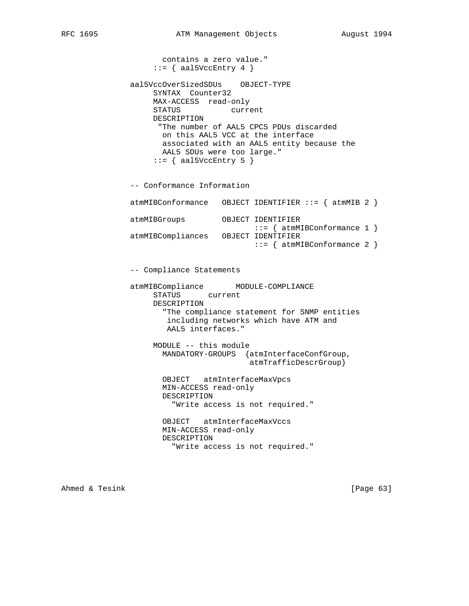contains a zero value."  $::=$  { aal5VccEntry 4 } aal5VccOverSizedSDUs OBJECT-TYPE SYNTAX Counter32 MAX-ACCESS read-only STATUS current DESCRIPTION "The number of AAL5 CPCS PDUs discarded on this AAL5 VCC at the interface associated with an AAL5 entity because the AAL5 SDUs were too large." ::= { aal5VccEntry 5 } -- Conformance Information atmMIBConformance OBJECT IDENTIFIER ::= { atmMIB 2 } atmMIBGroups OBJECT IDENTIFIER ::= { atmMIBConformance 1 } atmMIBCompliances OBJECT IDENTIFIER  $::=$  { atmMIBConformance 2 } -- Compliance Statements atmMIBCompliance MODULE-COMPLIANCE STATUS current DESCRIPTION "The compliance statement for SNMP entities including networks which have ATM and AAL5 interfaces." MODULE -- this module MANDATORY-GROUPS {atmInterfaceConfGroup, atmTrafficDescrGroup} OBJECT atmInterfaceMaxVpcs MIN-ACCESS read-only DESCRIPTION "Write access is not required." OBJECT atmInterfaceMaxVccs MIN-ACCESS read-only DESCRIPTION "Write access is not required."

Ahmed & Tesink [Page 63]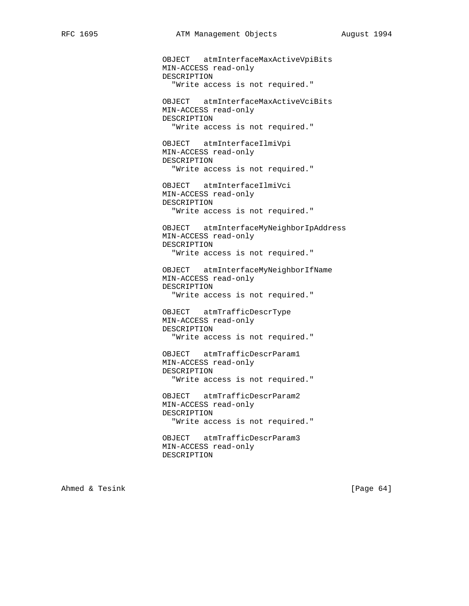OBJECT atmInterfaceMaxActiveVpiBits MIN-ACCESS read-only DESCRIPTION "Write access is not required." OBJECT atmInterfaceMaxActiveVciBits MIN-ACCESS read-only DESCRIPTION "Write access is not required." OBJECT atmInterfaceIlmiVpi MIN-ACCESS read-only DESCRIPTION "Write access is not required." OBJECT atmInterfaceIlmiVci MIN-ACCESS read-only DESCRIPTION "Write access is not required." OBJECT atmInterfaceMyNeighborIpAddress MIN-ACCESS read-only DESCRIPTION "Write access is not required." OBJECT atmInterfaceMyNeighborIfName MIN-ACCESS read-only DESCRIPTION "Write access is not required." OBJECT atmTrafficDescrType MIN-ACCESS read-only DESCRIPTION "Write access is not required." OBJECT atmTrafficDescrParam1 MIN-ACCESS read-only DESCRIPTION "Write access is not required." OBJECT atmTrafficDescrParam2 MIN-ACCESS read-only DESCRIPTION "Write access is not required." OBJECT atmTrafficDescrParam3 MIN-ACCESS read-only DESCRIPTION

Ahmed & Tesink [Page 64]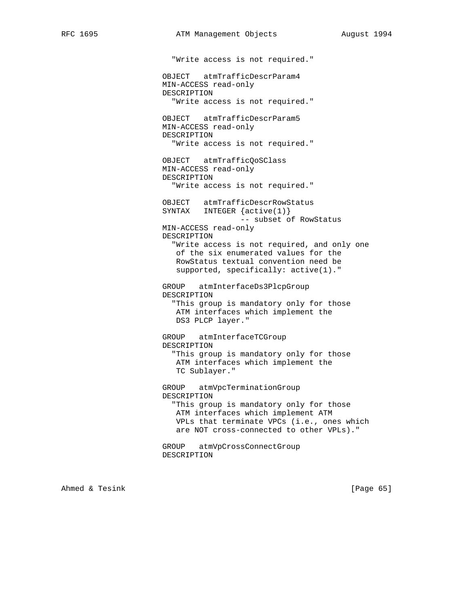"Write access is not required." OBJECT atmTrafficDescrParam4 MIN-ACCESS read-only DESCRIPTION "Write access is not required." OBJECT atmTrafficDescrParam5 MIN-ACCESS read-only DESCRIPTION "Write access is not required." OBJECT atmTrafficQoSClass MIN-ACCESS read-only DESCRIPTION "Write access is not required." OBJECT atmTrafficDescrRowStatus SYNTAX INTEGER {active(1)} -- subset of RowStatus MIN-ACCESS read-only DESCRIPTION "Write access is not required, and only one of the six enumerated values for the RowStatus textual convention need be supported, specifically: active(1)." GROUP atmInterfaceDs3PlcpGroup DESCRIPTION "This group is mandatory only for those ATM interfaces which implement the DS3 PLCP layer." GROUP atmInterfaceTCGroup DESCRIPTION "This group is mandatory only for those ATM interfaces which implement the TC Sublayer." GROUP atmVpcTerminationGroup DESCRIPTION "This group is mandatory only for those ATM interfaces which implement ATM VPLs that terminate VPCs (i.e., ones which are NOT cross-connected to other VPLs)." GROUP atmVpCrossConnectGroup DESCRIPTION

Ahmed & Tesink [Page 65]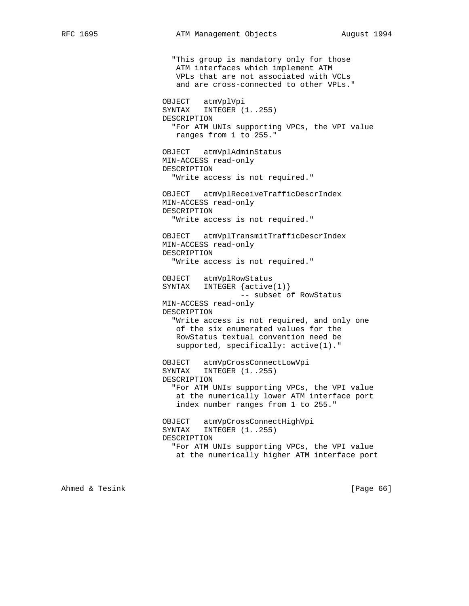"This group is mandatory only for those ATM interfaces which implement ATM VPLs that are not associated with VCLs and are cross-connected to other VPLs." OBJECT atmVplVpi SYNTAX INTEGER (1..255) DESCRIPTION "For ATM UNIs supporting VPCs, the VPI value ranges from 1 to 255." OBJECT atmVplAdminStatus MIN-ACCESS read-only DESCRIPTION "Write access is not required." OBJECT atmVplReceiveTrafficDescrIndex MIN-ACCESS read-only DESCRIPTION "Write access is not required." OBJECT atmVplTransmitTrafficDescrIndex MIN-ACCESS read-only DESCRIPTION "Write access is not required." OBJECT atmVplRowStatus SYNTAX INTEGER {active(1)} -- subset of RowStatus MIN-ACCESS read-only DESCRIPTION "Write access is not required, and only one of the six enumerated values for the RowStatus textual convention need be supported, specifically: active(1)." OBJECT atmVpCrossConnectLowVpi SYNTAX INTEGER (1..255) DESCRIPTION "For ATM UNIs supporting VPCs, the VPI value at the numerically lower ATM interface port index number ranges from 1 to 255." OBJECT atmVpCrossConnectHighVpi SYNTAX INTEGER (1..255) DESCRIPTION "For ATM UNIs supporting VPCs, the VPI value at the numerically higher ATM interface port

Ahmed & Tesink [Page 66]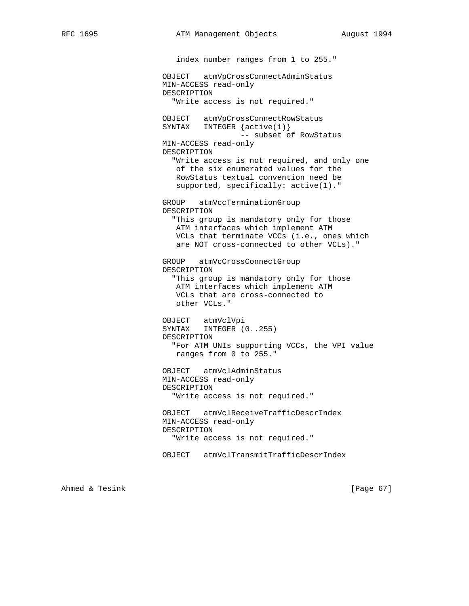index number ranges from 1 to 255." OBJECT atmVpCrossConnectAdminStatus MIN-ACCESS read-only DESCRIPTION "Write access is not required." OBJECT atmVpCrossConnectRowStatus SYNTAX INTEGER {active(1)} -- subset of RowStatus MIN-ACCESS read-only DESCRIPTION "Write access is not required, and only one of the six enumerated values for the RowStatus textual convention need be supported, specifically: active(1)." GROUP atmVccTerminationGroup DESCRIPTION "This group is mandatory only for those ATM interfaces which implement ATM VCLs that terminate VCCs (i.e., ones which are NOT cross-connected to other VCLs)." GROUP atmVcCrossConnectGroup DESCRIPTION "This group is mandatory only for those ATM interfaces which implement ATM VCLs that are cross-connected to other VCLs." OBJECT atmVclVpi SYNTAX INTEGER (0..255) DESCRIPTION "For ATM UNIs supporting VCCs, the VPI value ranges from 0 to 255." OBJECT atmVclAdminStatus MIN-ACCESS read-only DESCRIPTION "Write access is not required." OBJECT atmVclReceiveTrafficDescrIndex MIN-ACCESS read-only DESCRIPTION "Write access is not required." OBJECT atmVclTransmitTrafficDescrIndex

Ahmed & Tesink [Page 67]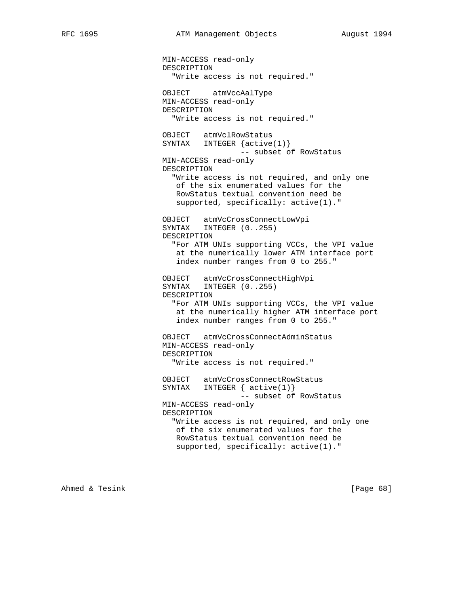MIN-ACCESS read-only DESCRIPTION "Write access is not required." OBJECT atmVccAalType MIN-ACCESS read-only DESCRIPTION "Write access is not required." OBJECT atmVclRowStatus SYNTAX INTEGER {active(1)} -- subset of RowStatus MIN-ACCESS read-only DESCRIPTION "Write access is not required, and only one of the six enumerated values for the RowStatus textual convention need be supported, specifically: active(1)." OBJECT atmVcCrossConnectLowVpi SYNTAX INTEGER (0..255) DESCRIPTION "For ATM UNIs supporting VCCs, the VPI value at the numerically lower ATM interface port index number ranges from 0 to 255." OBJECT atmVcCrossConnectHighVpi SYNTAX INTEGER  $(0..255)$  DESCRIPTION "For ATM UNIs supporting VCCs, the VPI value at the numerically higher ATM interface port index number ranges from 0 to 255." OBJECT atmVcCrossConnectAdminStatus MIN-ACCESS read-only DESCRIPTION "Write access is not required." OBJECT atmVcCrossConnectRowStatus SYNTAX INTEGER { active(1)} -- subset of RowStatus MIN-ACCESS read-only DESCRIPTION "Write access is not required, and only one of the six enumerated values for the RowStatus textual convention need be supported, specifically: active(1)."

Ahmed & Tesink [Page 68]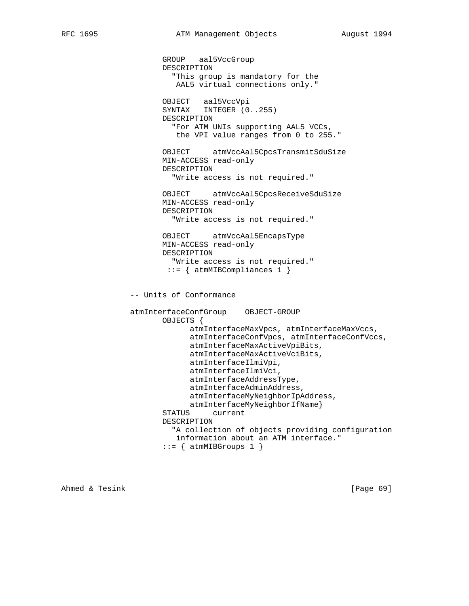```
 GROUP aal5VccGroup
        DESCRIPTION
          "This group is mandatory for the
           AAL5 virtual connections only."
        OBJECT aal5VccVpi
        SYNTAX INTEGER (0..255)
       DESCRIPTION
          "For ATM UNIs supporting AAL5 VCCs,
          the VPI value ranges from 0 to 255."
        OBJECT atmVccAal5CpcsTransmitSduSize
       MIN-ACCESS read-only
       DESCRIPTION
          "Write access is not required."
        OBJECT atmVccAal5CpcsReceiveSduSize
       MIN-ACCESS read-only
       DESCRIPTION
          "Write access is not required."
       OBJECT atmVccAal5EncapsType
       MIN-ACCESS read-only
       DESCRIPTION
          "Write access is not required."
        ::= { atmMIBCompliances 1 }
 -- Units of Conformance
 atmInterfaceConfGroup OBJECT-GROUP
        OBJECTS {
              atmInterfaceMaxVpcs, atmInterfaceMaxVccs,
              atmInterfaceConfVpcs, atmInterfaceConfVccs,
              atmInterfaceMaxActiveVpiBits,
              atmInterfaceMaxActiveVciBits,
              atmInterfaceIlmiVpi,
              atmInterfaceIlmiVci,
              atmInterfaceAddressType,
              atmInterfaceAdminAddress,
              atmInterfaceMyNeighborIpAddress,
             atmInterfaceMyNeighborIfName}
        STATUS current
        DESCRIPTION
          "A collection of objects providing configuration
          information about an ATM interface."
       ::= { atmMIBGroups 1 }
```
Ahmed & Tesink [Page 69]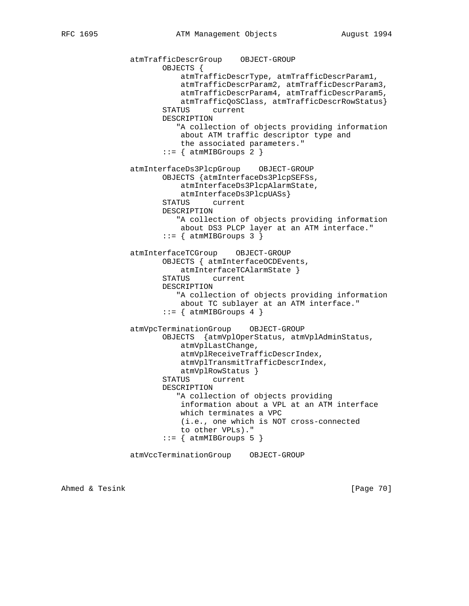```
 atmTrafficDescrGroup OBJECT-GROUP
        OBJECTS {
            atmTrafficDescrType, atmTrafficDescrParam1,
            atmTrafficDescrParam2, atmTrafficDescrParam3,
            atmTrafficDescrParam4, atmTrafficDescrParam5,
            atmTrafficQoSClass, atmTrafficDescrRowStatus}
        STATUS current
        DESCRIPTION
           "A collection of objects providing information
            about ATM traffic descriptor type and
            the associated parameters."
       ::= { atmMIBGroups 2 }
 atmInterfaceDs3PlcpGroup OBJECT-GROUP
        OBJECTS {atmInterfaceDs3PlcpSEFSs,
            atmInterfaceDs3PlcpAlarmState,
            atmInterfaceDs3PlcpUASs}
        STATUS current
        DESCRIPTION
           "A collection of objects providing information
            about DS3 PLCP layer at an ATM interface."
       ::= { atmMIBGroups 3 }
 atmInterfaceTCGroup OBJECT-GROUP
        OBJECTS { atmInterfaceOCDEvents,
            atmInterfaceTCAlarmState }
        STATUS current
        DESCRIPTION
           "A collection of objects providing information
            about TC sublayer at an ATM interface."
       ::= { atmMIBGroups 4 }
 atmVpcTerminationGroup OBJECT-GROUP
        OBJECTS {atmVplOperStatus, atmVplAdminStatus,
            atmVplLastChange,
            atmVplReceiveTrafficDescrIndex,
            atmVplTransmitTrafficDescrIndex,
            atmVplRowStatus }
        STATUS current
        DESCRIPTION
           "A collection of objects providing
            information about a VPL at an ATM interface
            which terminates a VPC
            (i.e., one which is NOT cross-connected
            to other VPLs)."
       ::= { atmMIBGroups 5 }
 atmVccTerminationGroup OBJECT-GROUP
```
Ahmed & Tesink [Page 70]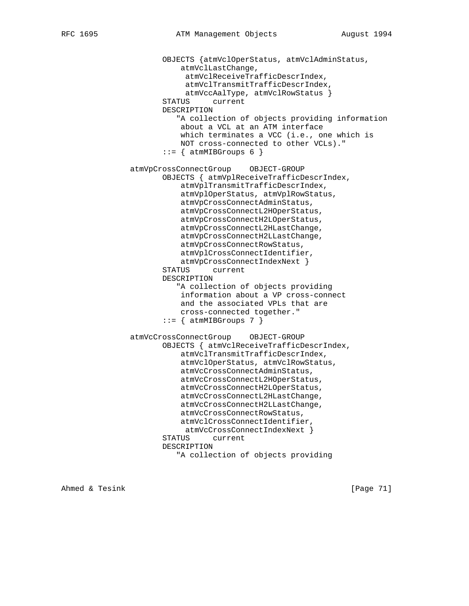```
 OBJECTS {atmVclOperStatus, atmVclAdminStatus,
            atmVclLastChange,
             atmVclReceiveTrafficDescrIndex,
             atmVclTransmitTrafficDescrIndex,
             atmVccAalType, atmVclRowStatus }
        STATUS current
        DESCRIPTION
           "A collection of objects providing information
            about a VCL at an ATM interface
            which terminates a VCC (i.e., one which is
            NOT cross-connected to other VCLs)."
       ::= { atmMIBGroups 6 }
 atmVpCrossConnectGroup OBJECT-GROUP
        OBJECTS { atmVplReceiveTrafficDescrIndex,
            atmVplTransmitTrafficDescrIndex,
            atmVplOperStatus, atmVplRowStatus,
            atmVpCrossConnectAdminStatus,
            atmVpCrossConnectL2HOperStatus,
            atmVpCrossConnectH2LOperStatus,
            atmVpCrossConnectL2HLastChange,
            atmVpCrossConnectH2LLastChange,
            atmVpCrossConnectRowStatus,
            atmVplCrossConnectIdentifier,
            atmVpCrossConnectIndexNext }
        STATUS current
        DESCRIPTION
           "A collection of objects providing
            information about a VP cross-connect
            and the associated VPLs that are
            cross-connected together."
       ::= { atmMIBGroups 7 }
 atmVcCrossConnectGroup OBJECT-GROUP
        OBJECTS { atmVclReceiveTrafficDescrIndex,
            atmVclTransmitTrafficDescrIndex,
            atmVclOperStatus, atmVclRowStatus,
            atmVcCrossConnectAdminStatus,
            atmVcCrossConnectL2HOperStatus,
            atmVcCrossConnectH2LOperStatus,
            atmVcCrossConnectL2HLastChange,
            atmVcCrossConnectH2LLastChange,
            atmVcCrossConnectRowStatus,
            atmVclCrossConnectIdentifier,
            atmVcCrossConnectIndexNext }
        STATUS current
        DESCRIPTION
           "A collection of objects providing
```
Ahmed & Tesink [Page 71]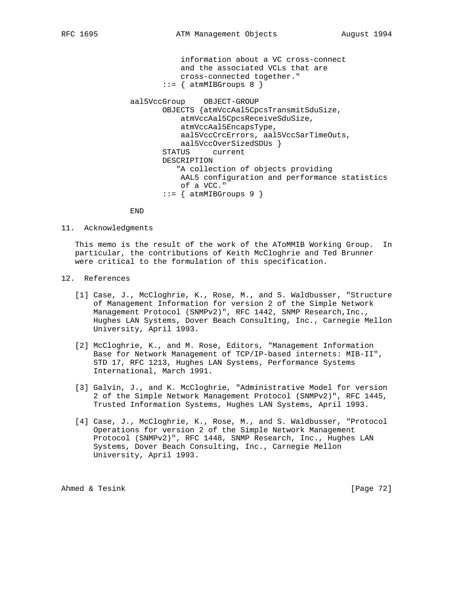information about a VC cross-connect and the associated VCLs that are cross-connected together."  $::=$  { atmMIBGroups 8 }

 aal5VccGroup OBJECT-GROUP OBJECTS {atmVccAal5CpcsTransmitSduSize, atmVccAal5CpcsReceiveSduSize, atmVccAal5EncapsType, aal5VccCrcErrors, aal5VccSarTimeOuts, aal5VccOverSizedSDUs } STATUS current DESCRIPTION "A collection of objects providing AAL5 configuration and performance statistics of a VCC."  $::=$  { atmMIBGroups 9 }

END

11. Acknowledgments

 This memo is the result of the work of the AToMMIB Working Group. In particular, the contributions of Keith McCloghrie and Ted Brunner were critical to the formulation of this specification.

- 12. References
	- [1] Case, J., McCloghrie, K., Rose, M., and S. Waldbusser, "Structure of Management Information for version 2 of the Simple Network Management Protocol (SNMPv2)", RFC 1442, SNMP Research, Inc., Hughes LAN Systems, Dover Beach Consulting, Inc., Carnegie Mellon University, April 1993.
	- [2] McCloghrie, K., and M. Rose, Editors, "Management Information Base for Network Management of TCP/IP-based internets: MIB-II", STD 17, RFC 1213, Hughes LAN Systems, Performance Systems International, March 1991.
	- [3] Galvin, J., and K. McCloghrie, "Administrative Model for version 2 of the Simple Network Management Protocol (SNMPv2)", RFC 1445, Trusted Information Systems, Hughes LAN Systems, April 1993.
	- [4] Case, J., McCloghrie, K., Rose, M., and S. Waldbusser, "Protocol Operations for version 2 of the Simple Network Management Protocol (SNMPv2)", RFC 1448, SNMP Research, Inc., Hughes LAN Systems, Dover Beach Consulting, Inc., Carnegie Mellon University, April 1993.

Ahmed & Tesink [Page 72]